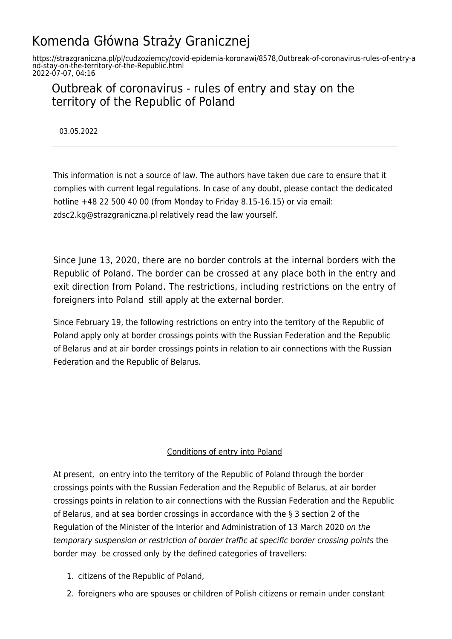# Komenda Główna Straży Granicznej

https://strazgraniczna.pl/pl/cudzoziemcy/covid-epidemia-koronawi/8578,Outbreak-of-coronavirus-rules-of-entry-a nd-stay-on-the-territory-of-the-Republic.html 2022-07-07, 04:16

# Outbreak of coronavirus - rules of entry and stay on the territory of the Republic of Poland

03.05.2022

This information is not a source of law. The authors have taken due care to ensure that it complies with current legal regulations. In case of any doubt, please contact the dedicated hotline +48 22 500 40 00 (from Monday to Friday 8.15-16.15) or via email: zdsc2.kg@strazgraniczna.pl relatively read the law yourself.

Since June 13, 2020, there are no border controls at the internal borders with the Republic of Poland. The border can be crossed at any place both in the entry and exit direction from Poland. The restrictions, including restrictions on the entry of foreigners into Poland still apply at the external border.

Since February 19, the following restrictions on entry into the territory of the Republic of Poland apply only at border crossings points with the Russian Federation and the Republic of Belarus and at air border crossings points in relation to air connections with the Russian Federation and the Republic of Belarus.

### Conditions of entry into Poland

At present, on entry into the territory of the Republic of Poland through the border crossings points with the Russian Federation and the Republic of Belarus, at air border crossings points in relation to air connections with the Russian Federation and the Republic of Belarus, and at sea border crossings in accordance with the § 3 section 2 of the Regulation of the Minister of the Interior and Administration of 13 March 2020 on the temporary suspension or restriction of border traffic at specific border crossing points the border may be crossed only by the defined categories of travellers:

- 1. citizens of the Republic of Poland,
- 2. foreigners who are spouses or children of Polish citizens or remain under constant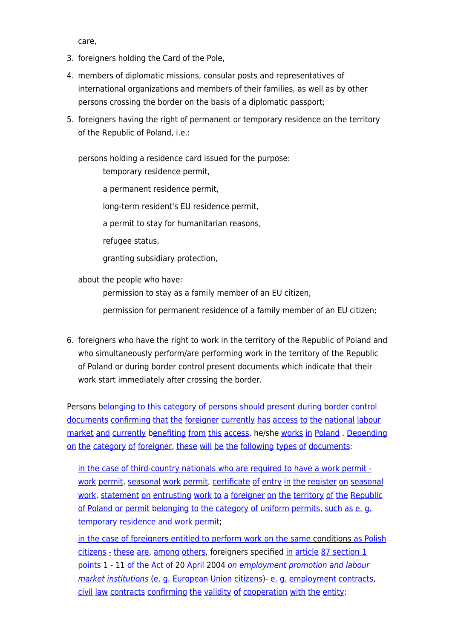care,

- 3. foreigners holding the Card of the Pole,
- 4. members of diplomatic missions, consular posts and representatives of international organizations and members of their families, as well as by other persons crossing the border on the basis of a diplomatic passport;
- 5. foreigners having the right of permanent or temporary residence on the territory of the Republic of Poland, i.e.:

persons holding a residence card issued for the purpose:

temporary residence permit,

a permanent residence permit,

long-term resident's EU residence permit,

a permit to stay for humanitarian reasons,

refugee status,

granting subsidiary protection,

about the people who have:

permission to stay as a family member of an EU citizen,

permission for permanent residence of a family member of an EU citizen;

6. foreigners who have the right to work in the territory of the Republic of Poland and who simultaneously perform/are performing work in the territory of the Republic of Poland or during border control present documents which indicate that their work start immediately after crossing the border.

Persons b[elonging](https://pl.pons.com/t%C5%82umaczenie/angielski-polski/elonging) [to](https://pl.pons.com/t%C5%82umaczenie/angielski-polski/to) [this](https://pl.pons.com/t%C5%82umaczenie/angielski-polski/this) [category](https://pl.pons.com/t%C5%82umaczenie/angielski-polski/category) [of](https://pl.pons.com/t%C5%82umaczenie/angielski-polski/of) [persons](https://pl.pons.com/t%C5%82umaczenie/angielski-polski/persons) [should](https://pl.pons.com/t%C5%82umaczenie/angielski-polski/should) [present](https://pl.pons.com/t%C5%82umaczenie/angielski-polski/present) [during](https://pl.pons.com/t%C5%82umaczenie/angielski-polski/during) [border](https://pl.pons.com/t%C5%82umaczenie/angielski-polski/order) [control](https://pl.pons.com/t%C5%82umaczenie/angielski-polski/control) [documents](https://pl.pons.com/t%C5%82umaczenie/angielski-polski/documents) [confirming](https://pl.pons.com/t%C5%82umaczenie/angielski-polski/confirming) [that](https://pl.pons.com/t%C5%82umaczenie/angielski-polski/that) [the](https://pl.pons.com/t%C5%82umaczenie/angielski-polski/the) [foreigner](https://pl.pons.com/t%C5%82umaczenie/angielski-polski/foreigner) [currently](https://pl.pons.com/t%C5%82umaczenie/angielski-polski/currently) [has](https://pl.pons.com/t%C5%82umaczenie/angielski-polski/has) [access](https://pl.pons.com/t%C5%82umaczenie/angielski-polski/access) [to](https://pl.pons.com/t%C5%82umaczenie/angielski-polski/to) [the](https://pl.pons.com/t%C5%82umaczenie/angielski-polski/the) [national](https://pl.pons.com/t%C5%82umaczenie/angielski-polski/national) [labour](https://pl.pons.com/t%C5%82umaczenie/angielski-polski/labour) [market](https://pl.pons.com/t%C5%82umaczenie/angielski-polski/market) [and](https://pl.pons.com/t%C5%82umaczenie/angielski-polski/and) [currently](https://pl.pons.com/t%C5%82umaczenie/angielski-polski/currently) b[enefiting](https://pl.pons.com/t%C5%82umaczenie/angielski-polski/enefiting) [from](https://pl.pons.com/t%C5%82umaczenie/angielski-polski/from) [this](https://pl.pons.com/t%C5%82umaczenie/angielski-polski/this) [access](https://pl.pons.com/t%C5%82umaczenie/angielski-polski/access), he/she [works](https://pl.pons.com/t%C5%82umaczenie/angielski-polski/works) [in](https://pl.pons.com/t%C5%82umaczenie/angielski-polski/in) [Poland](https://pl.pons.com/t%C5%82umaczenie/angielski-polski/Poland) . [Depending](https://pl.pons.com/t%C5%82umaczenie/angielski-polski/Depending) [on](https://pl.pons.com/t%C5%82umaczenie/angielski-polski/on) [the](https://pl.pons.com/t%C5%82umaczenie/angielski-polski/the) [category](https://pl.pons.com/t%C5%82umaczenie/angielski-polski/category) [of](https://pl.pons.com/t%C5%82umaczenie/angielski-polski/of) [foreigner](https://pl.pons.com/t%C5%82umaczenie/angielski-polski/foreigner), [these](https://pl.pons.com/t%C5%82umaczenie/angielski-polski/these) [will](https://pl.pons.com/t%C5%82umaczenie/angielski-polski/will) [be](https://pl.pons.com/t%C5%82umaczenie/angielski-polski/be) [the](https://pl.pons.com/t%C5%82umaczenie/angielski-polski/the) [following](https://pl.pons.com/t%C5%82umaczenie/angielski-polski/following) [types](https://pl.pons.com/t%C5%82umaczenie/angielski-polski/types) [of](https://pl.pons.com/t%C5%82umaczenie/angielski-polski/of) [documents](https://pl.pons.com/t%C5%82umaczenie/angielski-polski/documents):

[in](https://pl.pons.com/t%C5%82umaczenie/angielski-polski/in) [the](https://pl.pons.com/t%C5%82umaczenie/angielski-polski/the) [case](https://pl.pons.com/t%C5%82umaczenie/angielski-polski/case) [of](https://pl.pons.com/t%C5%82umaczenie/angielski-polski/of) [third-country](https://pl.pons.com/t%C5%82umaczenie/angielski-polski/third-country) [nationals](https://pl.pons.com/t%C5%82umaczenie/angielski-polski/nationals) [who](https://pl.pons.com/t%C5%82umaczenie/angielski-polski/who) [are](https://pl.pons.com/t%C5%82umaczenie/angielski-polski/are) [required](https://pl.pons.com/t%C5%82umaczenie/angielski-polski/required) [to](https://pl.pons.com/t%C5%82umaczenie/angielski-polski/to) [have](https://pl.pons.com/t%C5%82umaczenie/angielski-polski/have) [a](https://pl.pons.com/t%C5%82umaczenie/angielski-polski/a) [work](https://pl.pons.com/t%C5%82umaczenie/angielski-polski/work) [permit](https://pl.pons.com/t%C5%82umaczenie/angielski-polski/permit)  [work](https://pl.pons.com/t%C5%82umaczenie/angielski-polski/work) [permit](https://pl.pons.com/t%C5%82umaczenie/angielski-polski/permit), [seasonal](https://pl.pons.com/t%C5%82umaczenie/angielski-polski/seasonal) work [permit,](https://pl.pons.com/t%C5%82umaczenie/angielski-polski/permit) [certificate](https://pl.pons.com/t%C5%82umaczenie/angielski-polski/certificate) [of](https://pl.pons.com/t%C5%82umaczenie/angielski-polski/of) [entry](https://pl.pons.com/t%C5%82umaczenie/angielski-polski/entry) [in](https://pl.pons.com/t%C5%82umaczenie/angielski-polski/in) [the](https://pl.pons.com/t%C5%82umaczenie/angielski-polski/the) [register](https://pl.pons.com/t%C5%82umaczenie/angielski-polski/register) [on](https://pl.pons.com/t%C5%82umaczenie/angielski-polski/on) [seasonal](https://pl.pons.com/t%C5%82umaczenie/angielski-polski/seasonal) [work,](https://pl.pons.com/t%C5%82umaczenie/angielski-polski/work) [statement](https://pl.pons.com/t%C5%82umaczenie/angielski-polski/statement) [on](https://pl.pons.com/t%C5%82umaczenie/angielski-polski/on) [entrusting](https://pl.pons.com/t%C5%82umaczenie/angielski-polski/entrusting) [work](https://pl.pons.com/t%C5%82umaczenie/angielski-polski/work) [to](https://pl.pons.com/t%C5%82umaczenie/angielski-polski/to) [a](https://pl.pons.com/t%C5%82umaczenie/angielski-polski/a) [foreigner](https://pl.pons.com/t%C5%82umaczenie/angielski-polski/foreigner) on [the](https://pl.pons.com/t%C5%82umaczenie/angielski-polski/the) [territory](https://pl.pons.com/t%C5%82umaczenie/angielski-polski/territory) [of](https://pl.pons.com/t%C5%82umaczenie/angielski-polski/of) the [Republic](https://pl.pons.com/t%C5%82umaczenie/angielski-polski/Republic) [of](https://pl.pons.com/t%C5%82umaczenie/angielski-polski/of) [Poland](https://pl.pons.com/t%C5%82umaczenie/angielski-polski/Poland) [or](https://pl.pons.com/t%C5%82umaczenie/angielski-polski/or) [permit](https://pl.pons.com/t%C5%82umaczenie/angielski-polski/permit) [belonging](https://pl.pons.com/t%C5%82umaczenie/angielski-polski/elonging) [to](https://pl.pons.com/t%C5%82umaczenie/angielski-polski/to) [the](https://pl.pons.com/t%C5%82umaczenie/angielski-polski/the) [category](https://pl.pons.com/t%C5%82umaczenie/angielski-polski/category) [of](https://pl.pons.com/t%C5%82umaczenie/angielski-polski/of) [uniform](https://pl.pons.com/t%C5%82umaczenie/angielski-polski/niform) [permits,](https://pl.pons.com/t%C5%82umaczenie/angielski-polski/permits) [such](https://pl.pons.com/t%C5%82umaczenie/angielski-polski/such) [as](https://pl.pons.com/t%C5%82umaczenie/angielski-polski/as) [e.](https://pl.pons.com/t%C5%82umaczenie/angielski-polski/e.) [g.](https://pl.pons.com/t%C5%82umaczenie/angielski-polski/g.) [temporary](https://pl.pons.com/t%C5%82umaczenie/angielski-polski/temporary) [residence](https://pl.pons.com/t%C5%82umaczenie/angielski-polski/residence) [and](https://pl.pons.com/t%C5%82umaczenie/angielski-polski/and) [work](https://pl.pons.com/t%C5%82umaczenie/angielski-polski/work) [permit](https://pl.pons.com/t%C5%82umaczenie/angielski-polski/permit);

[in](https://pl.pons.com/t%C5%82umaczenie/angielski-polski/in) [the](https://pl.pons.com/t%C5%82umaczenie/angielski-polski/the) [case](https://pl.pons.com/t%C5%82umaczenie/angielski-polski/case) [of](https://pl.pons.com/t%C5%82umaczenie/angielski-polski/of) [foreigners](https://pl.pons.com/t%C5%82umaczenie/angielski-polski/foreigners) [entitled](https://pl.pons.com/t%C5%82umaczenie/angielski-polski/entitled) [to](https://pl.pons.com/t%C5%82umaczenie/angielski-polski/to) [perform](https://pl.pons.com/t%C5%82umaczenie/angielski-polski/perform) [work](https://pl.pons.com/t%C5%82umaczenie/angielski-polski/work) [on](https://pl.pons.com/t%C5%82umaczenie/angielski-polski/on) [the](https://pl.pons.com/t%C5%82umaczenie/angielski-polski/the) [same](https://pl.pons.com/t%C5%82umaczenie/angielski-polski/same) conditions [as](https://pl.pons.com/t%C5%82umaczenie/angielski-polski/as) [Polish](https://pl.pons.com/t%C5%82umaczenie/angielski-polski/Polish) [citizens](https://pl.pons.com/t%C5%82umaczenie/angielski-polski/citizens) [-](https://pl.pons.com/t%C5%82umaczenie/angielski-polski/-) [these](https://pl.pons.com/t%C5%82umaczenie/angielski-polski/these) [are](https://pl.pons.com/t%C5%82umaczenie/angielski-polski/are), [among](https://pl.pons.com/t%C5%82umaczenie/angielski-polski/among) [others,](https://pl.pons.com/t%C5%82umaczenie/angielski-polski/others) foreigners specified [in](https://pl.pons.com/t%C5%82umaczenie/angielski-polski/in) [article](https://pl.pons.com/t%C5%82umaczenie/angielski-polski/article) [87 section 1](https://pl.pons.com/t%C5%82umaczenie/angielski-polski/87(1) [points](https://pl.pons.com/t%C5%82umaczenie/angielski-polski/points) 1 [-](https://pl.pons.com/t%C5%82umaczenie/angielski-polski/-) 11 [of](https://pl.pons.com/t%C5%82umaczenie/angielski-polski/of) [the](https://pl.pons.com/t%C5%82umaczenie/angielski-polski/the) [Act](https://pl.pons.com/t%C5%82umaczenie/angielski-polski/Act) [of](https://pl.pons.com/t%C5%82umaczenie/angielski-polski/of) 20 [April](https://pl.pons.com/t%C5%82umaczenie/angielski-polski/April) 2004 [on](https://pl.pons.com/t%C5%82umaczenie/angielski-polski/on) [employment](https://pl.pons.com/t%C5%82umaczenie/angielski-polski/employment) [promotion](https://pl.pons.com/t%C5%82umaczenie/angielski-polski/promotion) [and](https://pl.pons.com/t%C5%82umaczenie/angielski-polski/and) [labour](https://pl.pons.com/t%C5%82umaczenie/angielski-polski/labour) [market](https://pl.pons.com/t%C5%82umaczenie/angielski-polski/market) [institutions](https://pl.pons.com/t%C5%82umaczenie/angielski-polski/institutions) ([e.](https://pl.pons.com/t%C5%82umaczenie/angielski-polski/e.) [g.](https://pl.pons.com/t%C5%82umaczenie/angielski-polski/g.) [European](https://pl.pons.com/t%C5%82umaczenie/angielski-polski/European) [Union](https://pl.pons.com/t%C5%82umaczenie/angielski-polski/Union) [citizens\)](https://pl.pons.com/t%C5%82umaczenie/angielski-polski/citizens)- [e.](https://pl.pons.com/t%C5%82umaczenie/angielski-polski/e.) g. [employment](https://pl.pons.com/t%C5%82umaczenie/angielski-polski/employment) [contracts,](https://pl.pons.com/t%C5%82umaczenie/angielski-polski/contracts) [civil](https://pl.pons.com/t%C5%82umaczenie/angielski-polski/civil) [law](https://pl.pons.com/t%C5%82umaczenie/angielski-polski/law) [contracts](https://pl.pons.com/t%C5%82umaczenie/angielski-polski/contracts) [confirming](https://pl.pons.com/t%C5%82umaczenie/angielski-polski/confirming) [the](https://pl.pons.com/t%C5%82umaczenie/angielski-polski/the) [validity](https://pl.pons.com/t%C5%82umaczenie/angielski-polski/validity) [of](https://pl.pons.com/t%C5%82umaczenie/angielski-polski/of) [cooperation](https://pl.pons.com/t%C5%82umaczenie/angielski-polski/cooperation) [with](https://pl.pons.com/t%C5%82umaczenie/angielski-polski/with) [the](https://pl.pons.com/t%C5%82umaczenie/angielski-polski/the) [entity](https://pl.pons.com/t%C5%82umaczenie/angielski-polski/entity);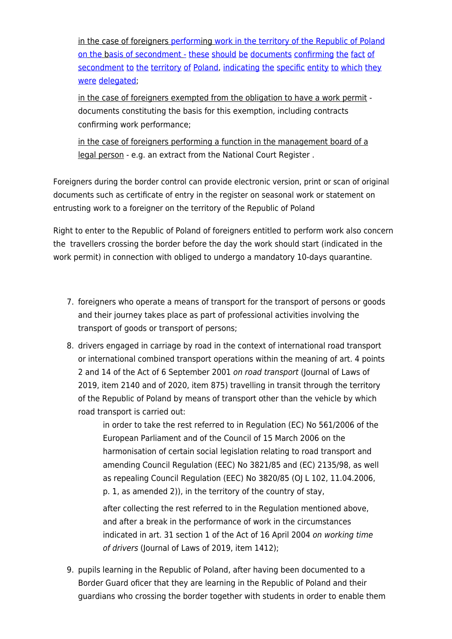in the case of foreigners [performi](https://pl.pons.com/t%C5%82umaczenie/angielski-polski/perform)ng [work](https://pl.pons.com/t%C5%82umaczenie/angielski-polski/work) [in](https://pl.pons.com/t%C5%82umaczenie/angielski-polski/in) [the](https://pl.pons.com/t%C5%82umaczenie/angielski-polski/the) [territory](https://pl.pons.com/t%C5%82umaczenie/angielski-polski/territory) [of](https://pl.pons.com/t%C5%82umaczenie/angielski-polski/of) [the](https://pl.pons.com/t%C5%82umaczenie/angielski-polski/the) [Republic](https://pl.pons.com/t%C5%82umaczenie/angielski-polski/Republic) [of](https://pl.pons.com/t%C5%82umaczenie/angielski-polski/of) [Poland](https://pl.pons.com/t%C5%82umaczenie/angielski-polski/Poland) [on](https://pl.pons.com/t%C5%82umaczenie/angielski-polski/on) [the](https://pl.pons.com/t%C5%82umaczenie/angielski-polski/the) b[asis](https://pl.pons.com/t%C5%82umaczenie/angielski-polski/asis) [of](https://pl.pons.com/t%C5%82umaczenie/angielski-polski/of) [secondment](https://pl.pons.com/t%C5%82umaczenie/angielski-polski/secondment) [-](https://pl.pons.com/t%C5%82umaczenie/angielski-polski/-) [these](https://pl.pons.com/t%C5%82umaczenie/angielski-polski/these) [should](https://pl.pons.com/t%C5%82umaczenie/angielski-polski/should) [be](https://pl.pons.com/t%C5%82umaczenie/angielski-polski/be) [documents](https://pl.pons.com/t%C5%82umaczenie/angielski-polski/documents) [confirming](https://pl.pons.com/t%C5%82umaczenie/angielski-polski/confirming) [the](https://pl.pons.com/t%C5%82umaczenie/angielski-polski/the) [fact](https://pl.pons.com/t%C5%82umaczenie/angielski-polski/fact) [of](https://pl.pons.com/t%C5%82umaczenie/angielski-polski/of) [secondment](https://pl.pons.com/t%C5%82umaczenie/angielski-polski/secondment) [to](https://pl.pons.com/t%C5%82umaczenie/angielski-polski/to) [the](https://pl.pons.com/t%C5%82umaczenie/angielski-polski/the) [territory](https://pl.pons.com/t%C5%82umaczenie/angielski-polski/territory) [of](https://pl.pons.com/t%C5%82umaczenie/angielski-polski/of) [Poland,](https://pl.pons.com/t%C5%82umaczenie/angielski-polski/Poland) [indicating](https://pl.pons.com/t%C5%82umaczenie/angielski-polski/indicating) the [specific](https://pl.pons.com/t%C5%82umaczenie/angielski-polski/specific) [entity](https://pl.pons.com/t%C5%82umaczenie/angielski-polski/entity) to [which](https://pl.pons.com/t%C5%82umaczenie/angielski-polski/which) [they](https://pl.pons.com/t%C5%82umaczenie/angielski-polski/they) [were](https://pl.pons.com/t%C5%82umaczenie/angielski-polski/were) [delegated](https://pl.pons.com/t%C5%82umaczenie/angielski-polski/delegated);

in the case of foreigners exempted from the obligation to have a work permit documents constituting the basis for this exemption, including contracts confirming work performance;

in the case of foreigners performing a function in the management board of a legal person - e.g. an extract from the National Court Register .

Foreigners during the border control can provide electronic version, print or scan of original documents such as certificate of entry in the register on seasonal work or statement on entrusting work to a foreigner on the territory of the Republic of Poland

Right to enter to the Republic of Poland of foreigners entitled to perform work also concern the travellers crossing the border before the day the work should start (indicated in the work permit) in connection with obliged to undergo a mandatory 10-days quarantine.

- 7. foreigners who operate a means of transport for the transport of persons or goods and their journey takes place as part of professional activities involving the transport of goods or transport of persons;
- 8. drivers engaged in carriage by road in the context of international road transport or international combined transport operations within the meaning of art. 4 points 2 and 14 of the Act of 6 September 2001 on road transport (Journal of Laws of 2019, item 2140 and of 2020, item 875) travelling in transit through the territory of the Republic of Poland by means of transport other than the vehicle by which road transport is carried out:

in order to take the rest referred to in Regulation (EC) No 561/2006 of the European Parliament and of the Council of 15 March 2006 on the harmonisation of certain social legislation relating to road transport and amending Council Regulation (EEC) No 3821/85 and (EC) 2135/98, as well as repealing Council Regulation (EEC) No 3820/85 (OJ L 102, 11.04.2006, p. 1, as amended 2)), in the territory of the country of stay,

after collecting the rest referred to in the Regulation mentioned above, and after a break in the performance of work in the circumstances indicated in art. 31 section 1 of the Act of 16 April 2004 on working time of drivers (Journal of Laws of 2019, item 1412);

9. pupils learning in the Republic of Poland, after having been documented to a Border Guard oficer that they are learning in the Republic of Poland and their guardians who crossing the border together with students in order to enable them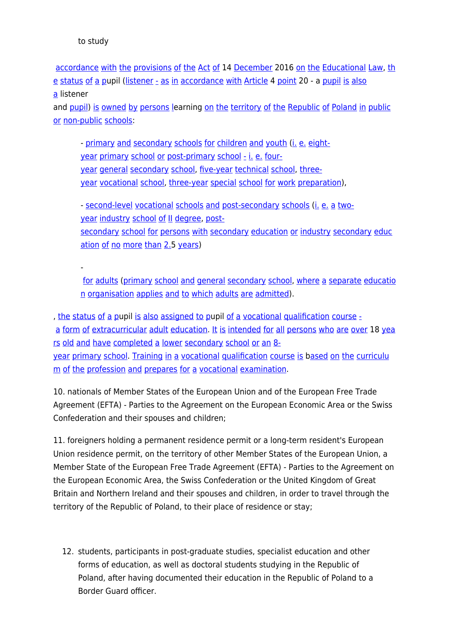-

[accordance](https://pl.pons.com/t%C5%82umaczenie/angielski-polski/accordance) [with](https://pl.pons.com/t%C5%82umaczenie/angielski-polski/with) [the](https://pl.pons.com/t%C5%82umaczenie/angielski-polski/the) [provisions](https://pl.pons.com/t%C5%82umaczenie/angielski-polski/provisions) [of](https://pl.pons.com/t%C5%82umaczenie/angielski-polski/of) [the](https://pl.pons.com/t%C5%82umaczenie/angielski-polski/the) [Act](https://pl.pons.com/t%C5%82umaczenie/angielski-polski/Act) [of](https://pl.pons.com/t%C5%82umaczenie/angielski-polski/of) 14 [December](https://pl.pons.com/t%C5%82umaczenie/angielski-polski/December) 2016 [on](https://pl.pons.com/t%C5%82umaczenie/angielski-polski/on) [the](https://pl.pons.com/t%C5%82umaczenie/angielski-polski/the) [Educational](https://pl.pons.com/t%C5%82umaczenie/angielski-polski/Educational) [Law,](https://pl.pons.com/t%C5%82umaczenie/angielski-polski/Law) [th](https://pl.pons.com/t%C5%82umaczenie/angielski-polski/the) [e](https://pl.pons.com/t%C5%82umaczenie/angielski-polski/the) [status](https://pl.pons.com/t%C5%82umaczenie/angielski-polski/status) [of](https://pl.pons.com/t%C5%82umaczenie/angielski-polski/of) [a](https://pl.pons.com/t%C5%82umaczenie/angielski-polski/a) [p](https://pl.pons.com/t%C5%82umaczenie/angielski-polski/student)upil [\(listener](https://pl.pons.com/t%C5%82umaczenie/angielski-polski/listener) [-](https://pl.pons.com/t%C5%82umaczenie/angielski-polski/-) [as](https://pl.pons.com/t%C5%82umaczenie/angielski-polski/as) [in](https://pl.pons.com/t%C5%82umaczenie/angielski-polski/in) [accordance](https://pl.pons.com/t%C5%82umaczenie/angielski-polski/accordance) [with](https://pl.pons.com/t%C5%82umaczenie/angielski-polski/with) [Article](https://pl.pons.com/t%C5%82umaczenie/angielski-polski/Article) 4 [point](https://pl.pons.com/t%C5%82umaczenie/angielski-polski/point) 20 - a [pupil](https://pl.pons.com/t%C5%82umaczenie/angielski-polski/student) [is](https://pl.pons.com/t%C5%82umaczenie/angielski-polski/is) [also](https://pl.pons.com/t%C5%82umaczenie/angielski-polski/also) [a](https://pl.pons.com/t%C5%82umaczenie/angielski-polski/a) listener

and [pupil\)](https://pl.pons.com/t%C5%82umaczenie/angielski-polski/pupil) [is](https://pl.pons.com/t%C5%82umaczenie/angielski-polski/is) [owned](https://pl.pons.com/t%C5%82umaczenie/angielski-polski/owned) [by](https://pl.pons.com/t%C5%82umaczenie/angielski-polski/by) [persons](https://pl.pons.com/t%C5%82umaczenie/angielski-polski/persons) [le](https://pl.pons.com/t%C5%82umaczenie/angielski-polski/studying)arning [on](https://pl.pons.com/t%C5%82umaczenie/angielski-polski/on) [the](https://pl.pons.com/t%C5%82umaczenie/angielski-polski/the) [territory](https://pl.pons.com/t%C5%82umaczenie/angielski-polski/territory) [of](https://pl.pons.com/t%C5%82umaczenie/angielski-polski/of) the [Republic](https://pl.pons.com/t%C5%82umaczenie/angielski-polski/Republic) of [Poland](https://pl.pons.com/t%C5%82umaczenie/angielski-polski/Poland) [in](https://pl.pons.com/t%C5%82umaczenie/angielski-polski/in) [public](https://pl.pons.com/t%C5%82umaczenie/angielski-polski/public) [or](https://pl.pons.com/t%C5%82umaczenie/angielski-polski/or) [non-public](https://pl.pons.com/t%C5%82umaczenie/angielski-polski/non-public) [schools](https://pl.pons.com/t%C5%82umaczenie/angielski-polski/schools):

- [primary](https://pl.pons.com/t%C5%82umaczenie/angielski-polski/primary) [and](https://pl.pons.com/t%C5%82umaczenie/angielski-polski/and) [secondary](https://pl.pons.com/t%C5%82umaczenie/angielski-polski/secondary) [schools](https://pl.pons.com/t%C5%82umaczenie/angielski-polski/schools) [for](https://pl.pons.com/t%C5%82umaczenie/angielski-polski/for) [children](https://pl.pons.com/t%C5%82umaczenie/angielski-polski/children) and [youth](https://pl.pons.com/t%C5%82umaczenie/angielski-polski/youth) [\(i.](https://pl.pons.com/t%C5%82umaczenie/angielski-polski/i.) [e.](https://pl.pons.com/t%C5%82umaczenie/angielski-polski/e.) [eight](https://pl.pons.com/t%C5%82umaczenie/angielski-polski/eight-year)[year](https://pl.pons.com/t%C5%82umaczenie/angielski-polski/eight-year) [primary](https://pl.pons.com/t%C5%82umaczenie/angielski-polski/primary) [school](https://pl.pons.com/t%C5%82umaczenie/angielski-polski/school) [or](https://pl.pons.com/t%C5%82umaczenie/angielski-polski/or) [post-primary](https://pl.pons.com/t%C5%82umaczenie/angielski-polski/post-primary) school [-](https://pl.pons.com/t%C5%82umaczenie/angielski-polski/-) [i.](https://pl.pons.com/t%C5%82umaczenie/angielski-polski/i.) [e.](https://pl.pons.com/t%C5%82umaczenie/angielski-polski/e.) [four](https://pl.pons.com/t%C5%82umaczenie/angielski-polski/four-year)[year](https://pl.pons.com/t%C5%82umaczenie/angielski-polski/four-year) [general](https://pl.pons.com/t%C5%82umaczenie/angielski-polski/general) [secondary](https://pl.pons.com/t%C5%82umaczenie/angielski-polski/secondary) [school,](https://pl.pons.com/t%C5%82umaczenie/angielski-polski/school) [five-year](https://pl.pons.com/t%C5%82umaczenie/angielski-polski/five-year) [technical](https://pl.pons.com/t%C5%82umaczenie/angielski-polski/technical) [school,](https://pl.pons.com/t%C5%82umaczenie/angielski-polski/school) [three](https://pl.pons.com/t%C5%82umaczenie/angielski-polski/three-year)[year](https://pl.pons.com/t%C5%82umaczenie/angielski-polski/three-year) [vocational](https://pl.pons.com/t%C5%82umaczenie/angielski-polski/vocational) [school](https://pl.pons.com/t%C5%82umaczenie/angielski-polski/school), [three-year](https://pl.pons.com/t%C5%82umaczenie/angielski-polski/three-year) [special](https://pl.pons.com/t%C5%82umaczenie/angielski-polski/special) [school](https://pl.pons.com/t%C5%82umaczenie/angielski-polski/school) [for](https://pl.pons.com/t%C5%82umaczenie/angielski-polski/for) [work](https://pl.pons.com/t%C5%82umaczenie/angielski-polski/work) [preparation\)](https://pl.pons.com/t%C5%82umaczenie/angielski-polski/preparation),

- [second-level](https://pl.pons.com/t%C5%82umaczenie/angielski-polski/second-level) [vocational](https://pl.pons.com/t%C5%82umaczenie/angielski-polski/vocational) [schools](https://pl.pons.com/t%C5%82umaczenie/angielski-polski/schools) [and](https://pl.pons.com/t%C5%82umaczenie/angielski-polski/and) [post-secondary](https://pl.pons.com/t%C5%82umaczenie/angielski-polski/post-secondary) [schools](https://pl.pons.com/t%C5%82umaczenie/angielski-polski/schools) ([i.](https://pl.pons.com/t%C5%82umaczenie/angielski-polski/i.) [e.](https://pl.pons.com/t%C5%82umaczenie/angielski-polski/e.) [a](https://pl.pons.com/t%C5%82umaczenie/angielski-polski/a) [two](https://pl.pons.com/t%C5%82umaczenie/angielski-polski/two-year)[year](https://pl.pons.com/t%C5%82umaczenie/angielski-polski/two-year) [industry](https://pl.pons.com/t%C5%82umaczenie/angielski-polski/industry) [school](https://pl.pons.com/t%C5%82umaczenie/angielski-polski/school) [of](https://pl.pons.com/t%C5%82umaczenie/angielski-polski/of) [II](https://pl.pons.com/t%C5%82umaczenie/angielski-polski/II) [degree,](https://pl.pons.com/t%C5%82umaczenie/angielski-polski/degree) [post](https://pl.pons.com/t%C5%82umaczenie/angielski-polski/post-secondary)[secondary](https://pl.pons.com/t%C5%82umaczenie/angielski-polski/secondary) [school](https://pl.pons.com/t%C5%82umaczenie/angielski-polski/school) [for](https://pl.pons.com/t%C5%82umaczenie/angielski-polski/for) [persons](https://pl.pons.com/t%C5%82umaczenie/angielski-polski/persons) [with](https://pl.pons.com/t%C5%82umaczenie/angielski-polski/with) secondary [education](https://pl.pons.com/t%C5%82umaczenie/angielski-polski/education) [or](https://pl.pons.com/t%C5%82umaczenie/angielski-polski/or) [industry](https://pl.pons.com/t%C5%82umaczenie/angielski-polski/industry) secondary [educ](https://pl.pons.com/t%C5%82umaczenie/angielski-polski/education) [ation](https://pl.pons.com/t%C5%82umaczenie/angielski-polski/education) [of](https://pl.pons.com/t%C5%82umaczenie/angielski-polski/of) [no](https://pl.pons.com/t%C5%82umaczenie/angielski-polski/no) [more](https://pl.pons.com/t%C5%82umaczenie/angielski-polski/more) [than](https://pl.pons.com/t%C5%82umaczenie/angielski-polski/than) [2.](https://pl.pons.com/t%C5%82umaczenie/angielski-polski/2.)5 [years\)](https://pl.pons.com/t%C5%82umaczenie/angielski-polski/years)

[for](https://pl.pons.com/t%C5%82umaczenie/angielski-polski/for) [adults](https://pl.pons.com/t%C5%82umaczenie/angielski-polski/adults) ([primary](https://pl.pons.com/t%C5%82umaczenie/angielski-polski/primary) [school](https://pl.pons.com/t%C5%82umaczenie/angielski-polski/school) [and](https://pl.pons.com/t%C5%82umaczenie/angielski-polski/and) [general](https://pl.pons.com/t%C5%82umaczenie/angielski-polski/general) [secondary](https://pl.pons.com/t%C5%82umaczenie/angielski-polski/secondary) [school,](https://pl.pons.com/t%C5%82umaczenie/angielski-polski/school) [where](https://pl.pons.com/t%C5%82umaczenie/angielski-polski/where) [a](https://pl.pons.com/t%C5%82umaczenie/angielski-polski/a) [separate](https://pl.pons.com/t%C5%82umaczenie/angielski-polski/separate) [educatio](https://pl.pons.com/t%C5%82umaczenie/angielski-polski/education) [n](https://pl.pons.com/t%C5%82umaczenie/angielski-polski/education) [organisation](https://pl.pons.com/t%C5%82umaczenie/angielski-polski/organisation) [applies](https://pl.pons.com/t%C5%82umaczenie/angielski-polski/applies) [and](https://pl.pons.com/t%C5%82umaczenie/angielski-polski/and) [to](https://pl.pons.com/t%C5%82umaczenie/angielski-polski/to) [which](https://pl.pons.com/t%C5%82umaczenie/angielski-polski/which) [adults](https://pl.pons.com/t%C5%82umaczenie/angielski-polski/adults) [are](https://pl.pons.com/t%C5%82umaczenie/angielski-polski/are) [admitted\)](https://pl.pons.com/t%C5%82umaczenie/angielski-polski/admitted).

, [the](https://pl.pons.com/t%C5%82umaczenie/angielski-polski/the) [status](https://pl.pons.com/t%C5%82umaczenie/angielski-polski/status) [of](https://pl.pons.com/t%C5%82umaczenie/angielski-polski/of) [a](https://pl.pons.com/t%C5%82umaczenie/angielski-polski/a) [pu](https://pl.pons.com/t%C5%82umaczenie/angielski-polski/student)pil [is](https://pl.pons.com/t%C5%82umaczenie/angielski-polski/is) [also](https://pl.pons.com/t%C5%82umaczenie/angielski-polski/also) [assigned](https://pl.pons.com/t%C5%82umaczenie/angielski-polski/assigned) [to](https://pl.pons.com/t%C5%82umaczenie/angielski-polski/to) [pu](https://pl.pons.com/t%C5%82umaczenie/angielski-polski/students)pil [of](https://pl.pons.com/t%C5%82umaczenie/angielski-polski/of) [a](https://pl.pons.com/t%C5%82umaczenie/angielski-polski/a) [vocational](https://pl.pons.com/t%C5%82umaczenie/angielski-polski/vocational) [qualification](https://pl.pons.com/t%C5%82umaczenie/angielski-polski/qualification) [course](https://pl.pons.com/t%C5%82umaczenie/angielski-polski/course)  [a](https://pl.pons.com/t%C5%82umaczenie/angielski-polski/a) [form](https://pl.pons.com/t%C5%82umaczenie/angielski-polski/form) [of](https://pl.pons.com/t%C5%82umaczenie/angielski-polski/of) [extracurricular](https://pl.pons.com/t%C5%82umaczenie/angielski-polski/extracurricular) [adult](https://pl.pons.com/t%C5%82umaczenie/angielski-polski/adult) [education](https://pl.pons.com/t%C5%82umaczenie/angielski-polski/education). [It](https://pl.pons.com/t%C5%82umaczenie/angielski-polski/It) [is](https://pl.pons.com/t%C5%82umaczenie/angielski-polski/is) [intended](https://pl.pons.com/t%C5%82umaczenie/angielski-polski/intended) [for](https://pl.pons.com/t%C5%82umaczenie/angielski-polski/for) [all](https://pl.pons.com/t%C5%82umaczenie/angielski-polski/all) [persons](https://pl.pons.com/t%C5%82umaczenie/angielski-polski/persons) [who](https://pl.pons.com/t%C5%82umaczenie/angielski-polski/who) [are](https://pl.pons.com/t%C5%82umaczenie/angielski-polski/are) [over](https://pl.pons.com/t%C5%82umaczenie/angielski-polski/over) 18 [yea](https://pl.pons.com/t%C5%82umaczenie/angielski-polski/years) [rs](https://pl.pons.com/t%C5%82umaczenie/angielski-polski/years) [old](https://pl.pons.com/t%C5%82umaczenie/angielski-polski/old) [and](https://pl.pons.com/t%C5%82umaczenie/angielski-polski/and) [have](https://pl.pons.com/t%C5%82umaczenie/angielski-polski/have) [completed](https://pl.pons.com/t%C5%82umaczenie/angielski-polski/completed) [a](https://pl.pons.com/t%C5%82umaczenie/angielski-polski/a) [lower](https://pl.pons.com/t%C5%82umaczenie/angielski-polski/lower) [secondary](https://pl.pons.com/t%C5%82umaczenie/angielski-polski/secondary) [school](https://pl.pons.com/t%C5%82umaczenie/angielski-polski/school) [or](https://pl.pons.com/t%C5%82umaczenie/angielski-polski/or) [an](https://pl.pons.com/t%C5%82umaczenie/angielski-polski/an) [8](https://pl.pons.com/t%C5%82umaczenie/angielski-polski/8-year) [year](https://pl.pons.com/t%C5%82umaczenie/angielski-polski/8-year) [primary](https://pl.pons.com/t%C5%82umaczenie/angielski-polski/primary) [school](https://pl.pons.com/t%C5%82umaczenie/angielski-polski/school). [Training](https://pl.pons.com/t%C5%82umaczenie/angielski-polski/Training) [in](https://pl.pons.com/t%C5%82umaczenie/angielski-polski/in) [a](https://pl.pons.com/t%C5%82umaczenie/angielski-polski/a) [vocational](https://pl.pons.com/t%C5%82umaczenie/angielski-polski/vocational) [qualification](https://pl.pons.com/t%C5%82umaczenie/angielski-polski/qualification) [course](https://pl.pons.com/t%C5%82umaczenie/angielski-polski/course) [is](https://pl.pons.com/t%C5%82umaczenie/angielski-polski/is) b[ased](https://pl.pons.com/t%C5%82umaczenie/angielski-polski/ased) [on](https://pl.pons.com/t%C5%82umaczenie/angielski-polski/on) [the](https://pl.pons.com/t%C5%82umaczenie/angielski-polski/the) [curriculu](https://pl.pons.com/t%C5%82umaczenie/angielski-polski/curriculum) [m](https://pl.pons.com/t%C5%82umaczenie/angielski-polski/curriculum) [of](https://pl.pons.com/t%C5%82umaczenie/angielski-polski/of) [the](https://pl.pons.com/t%C5%82umaczenie/angielski-polski/the) [profession](https://pl.pons.com/t%C5%82umaczenie/angielski-polski/profession) [and](https://pl.pons.com/t%C5%82umaczenie/angielski-polski/and) [prepares](https://pl.pons.com/t%C5%82umaczenie/angielski-polski/prepares) [for](https://pl.pons.com/t%C5%82umaczenie/angielski-polski/for) [a](https://pl.pons.com/t%C5%82umaczenie/angielski-polski/a) [vocational](https://pl.pons.com/t%C5%82umaczenie/angielski-polski/vocational) [examination](https://pl.pons.com/t%C5%82umaczenie/angielski-polski/examination).

10. nationals of Member States of the European Union and of the European Free Trade Agreement (EFTA) - Parties to the Agreement on the European Economic Area or the Swiss Confederation and their spouses and children;

11. foreigners holding a permanent residence permit or a long-term resident's European Union residence permit, on the territory of other Member States of the European Union, a Member State of the European Free Trade Agreement (EFTA) - Parties to the Agreement on the European Economic Area, the Swiss Confederation or the United Kingdom of Great Britain and Northern Ireland and their spouses and children, in order to travel through the territory of the Republic of Poland, to their place of residence or stay;

12. students, participants in post-graduate studies, specialist education and other forms of education, as well as doctoral students studying in the Republic of Poland, after having documented their education in the Republic of Poland to a Border Guard officer.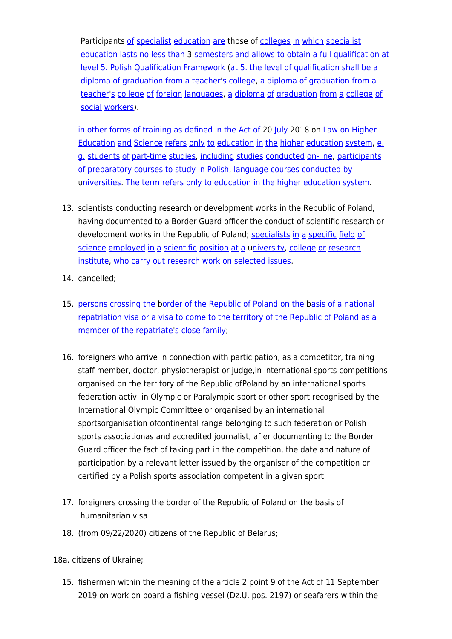Participants [of](https://pl.pons.com/t%C5%82umaczenie/angielski-polski/of) [specialist](https://pl.pons.com/t%C5%82umaczenie/angielski-polski/specialist) [education](https://pl.pons.com/t%C5%82umaczenie/angielski-polski/education) [are](https://pl.pons.com/t%C5%82umaczenie/angielski-polski/are) those of [colleges](https://pl.pons.com/t%C5%82umaczenie/angielski-polski/colleges) [in](https://pl.pons.com/t%C5%82umaczenie/angielski-polski/in) [which](https://pl.pons.com/t%C5%82umaczenie/angielski-polski/which) specialist [education](https://pl.pons.com/t%C5%82umaczenie/angielski-polski/education) [lasts](https://pl.pons.com/t%C5%82umaczenie/angielski-polski/lasts) [no](https://pl.pons.com/t%C5%82umaczenie/angielski-polski/no) [less](https://pl.pons.com/t%C5%82umaczenie/angielski-polski/less) [than](https://pl.pons.com/t%C5%82umaczenie/angielski-polski/than) 3 [semesters](https://pl.pons.com/t%C5%82umaczenie/angielski-polski/semesters) [and](https://pl.pons.com/t%C5%82umaczenie/angielski-polski/and) [allows](https://pl.pons.com/t%C5%82umaczenie/angielski-polski/allows) [to](https://pl.pons.com/t%C5%82umaczenie/angielski-polski/to) [obtain](https://pl.pons.com/t%C5%82umaczenie/angielski-polski/obtain) [a](https://pl.pons.com/t%C5%82umaczenie/angielski-polski/a) [full](https://pl.pons.com/t%C5%82umaczenie/angielski-polski/full) [qualification](https://pl.pons.com/t%C5%82umaczenie/angielski-polski/qualification) [at](https://pl.pons.com/t%C5%82umaczenie/angielski-polski/at) [level](https://pl.pons.com/t%C5%82umaczenie/angielski-polski/level) [5.](https://pl.pons.com/t%C5%82umaczenie/angielski-polski/5.) [Polish](https://pl.pons.com/t%C5%82umaczenie/angielski-polski/Polish) [Qualification](https://pl.pons.com/t%C5%82umaczenie/angielski-polski/Qualification) [Framework](https://pl.pons.com/t%C5%82umaczenie/angielski-polski/Framework) ([at](https://pl.pons.com/t%C5%82umaczenie/angielski-polski/at) [5.](https://pl.pons.com/t%C5%82umaczenie/angielski-polski/5.) [the](https://pl.pons.com/t%C5%82umaczenie/angielski-polski/the) [level](https://pl.pons.com/t%C5%82umaczenie/angielski-polski/level) [of](https://pl.pons.com/t%C5%82umaczenie/angielski-polski/of) [qualification](https://pl.pons.com/t%C5%82umaczenie/angielski-polski/qualification) [shall](https://pl.pons.com/t%C5%82umaczenie/angielski-polski/shall) [be](https://pl.pons.com/t%C5%82umaczenie/angielski-polski/be) [a](https://pl.pons.com/t%C5%82umaczenie/angielski-polski/a) [diploma](https://pl.pons.com/t%C5%82umaczenie/angielski-polski/diploma) [of](https://pl.pons.com/t%C5%82umaczenie/angielski-polski/of) [graduation](https://pl.pons.com/t%C5%82umaczenie/angielski-polski/graduation) [from](https://pl.pons.com/t%C5%82umaczenie/angielski-polski/from) [a](https://pl.pons.com/t%C5%82umaczenie/angielski-polski/a) [teacher](https://pl.pons.com/t%C5%82umaczenie/angielski-polski/teacher)'[s](https://pl.pons.com/t%C5%82umaczenie/angielski-polski/s) [college,](https://pl.pons.com/t%C5%82umaczenie/angielski-polski/college) [a](https://pl.pons.com/t%C5%82umaczenie/angielski-polski/a) [diploma](https://pl.pons.com/t%C5%82umaczenie/angielski-polski/diploma) [of](https://pl.pons.com/t%C5%82umaczenie/angielski-polski/of) [graduation](https://pl.pons.com/t%C5%82umaczenie/angielski-polski/graduation) [from](https://pl.pons.com/t%C5%82umaczenie/angielski-polski/from) [a](https://pl.pons.com/t%C5%82umaczenie/angielski-polski/a) [teacher](https://pl.pons.com/t%C5%82umaczenie/angielski-polski/teacher)'[s](https://pl.pons.com/t%C5%82umaczenie/angielski-polski/s) [college](https://pl.pons.com/t%C5%82umaczenie/angielski-polski/college) [of](https://pl.pons.com/t%C5%82umaczenie/angielski-polski/of) [foreign](https://pl.pons.com/t%C5%82umaczenie/angielski-polski/foreign) [languages,](https://pl.pons.com/t%C5%82umaczenie/angielski-polski/languages) [a](https://pl.pons.com/t%C5%82umaczenie/angielski-polski/a) [diploma](https://pl.pons.com/t%C5%82umaczenie/angielski-polski/diploma) [of](https://pl.pons.com/t%C5%82umaczenie/angielski-polski/of) [graduation](https://pl.pons.com/t%C5%82umaczenie/angielski-polski/graduation) [from](https://pl.pons.com/t%C5%82umaczenie/angielski-polski/from) [a](https://pl.pons.com/t%C5%82umaczenie/angielski-polski/a) [college](https://pl.pons.com/t%C5%82umaczenie/angielski-polski/college) [of](https://pl.pons.com/t%C5%82umaczenie/angielski-polski/of) [social](https://pl.pons.com/t%C5%82umaczenie/angielski-polski/social) [workers](https://pl.pons.com/t%C5%82umaczenie/angielski-polski/workers)).

[in](https://pl.pons.com/t%C5%82umaczenie/angielski-polski/in) [other](https://pl.pons.com/t%C5%82umaczenie/angielski-polski/other) [forms](https://pl.pons.com/t%C5%82umaczenie/angielski-polski/forms) [of](https://pl.pons.com/t%C5%82umaczenie/angielski-polski/of) [training](https://pl.pons.com/t%C5%82umaczenie/angielski-polski/training) [as](https://pl.pons.com/t%C5%82umaczenie/angielski-polski/as) [defined](https://pl.pons.com/t%C5%82umaczenie/angielski-polski/defined) [in](https://pl.pons.com/t%C5%82umaczenie/angielski-polski/in) [the](https://pl.pons.com/t%C5%82umaczenie/angielski-polski/the) [Act](https://pl.pons.com/t%C5%82umaczenie/angielski-polski/Act) [of](https://pl.pons.com/t%C5%82umaczenie/angielski-polski/of) 20 [July](https://pl.pons.com/t%C5%82umaczenie/angielski-polski/July) 2018 on [Law](https://pl.pons.com/t%C5%82umaczenie/angielski-polski/Law) [on](https://pl.pons.com/t%C5%82umaczenie/angielski-polski/on) [Higher](https://pl.pons.com/t%C5%82umaczenie/angielski-polski/Higher) [Education](https://pl.pons.com/t%C5%82umaczenie/angielski-polski/Education) [and](https://pl.pons.com/t%C5%82umaczenie/angielski-polski/and) [Science](https://pl.pons.com/t%C5%82umaczenie/angielski-polski/Science) [refers](https://pl.pons.com/t%C5%82umaczenie/angielski-polski/refers) [only](https://pl.pons.com/t%C5%82umaczenie/angielski-polski/only) [to](https://pl.pons.com/t%C5%82umaczenie/angielski-polski/to) [education](https://pl.pons.com/t%C5%82umaczenie/angielski-polski/education) [in](https://pl.pons.com/t%C5%82umaczenie/angielski-polski/in) [the](https://pl.pons.com/t%C5%82umaczenie/angielski-polski/the) [higher](https://pl.pons.com/t%C5%82umaczenie/angielski-polski/higher) [education](https://pl.pons.com/t%C5%82umaczenie/angielski-polski/education) [system,](https://pl.pons.com/t%C5%82umaczenie/angielski-polski/system) [e.](https://pl.pons.com/t%C5%82umaczenie/angielski-polski/e.) [g.](https://pl.pons.com/t%C5%82umaczenie/angielski-polski/g.) [students](https://pl.pons.com/t%C5%82umaczenie/angielski-polski/students) [of](https://pl.pons.com/t%C5%82umaczenie/angielski-polski/of) [part-time](https://pl.pons.com/t%C5%82umaczenie/angielski-polski/part-time) [studies,](https://pl.pons.com/t%C5%82umaczenie/angielski-polski/studies) [including](https://pl.pons.com/t%C5%82umaczenie/angielski-polski/including) [studies](https://pl.pons.com/t%C5%82umaczenie/angielski-polski/studies) [conducted](https://pl.pons.com/t%C5%82umaczenie/angielski-polski/conducted) [on-line](https://pl.pons.com/t%C5%82umaczenie/angielski-polski/on-line), [participants](https://pl.pons.com/t%C5%82umaczenie/angielski-polski/participants) [of](https://pl.pons.com/t%C5%82umaczenie/angielski-polski/of) [preparatory](https://pl.pons.com/t%C5%82umaczenie/angielski-polski/preparatory) [courses](https://pl.pons.com/t%C5%82umaczenie/angielski-polski/courses) [to](https://pl.pons.com/t%C5%82umaczenie/angielski-polski/to) [study](https://pl.pons.com/t%C5%82umaczenie/angielski-polski/study) [in](https://pl.pons.com/t%C5%82umaczenie/angielski-polski/in) [Polish,](https://pl.pons.com/t%C5%82umaczenie/angielski-polski/Polish) [language](https://pl.pons.com/t%C5%82umaczenie/angielski-polski/language) courses [conducted](https://pl.pons.com/t%C5%82umaczenie/angielski-polski/conducted) [by](https://pl.pons.com/t%C5%82umaczenie/angielski-polski/by) [universities](https://pl.pons.com/t%C5%82umaczenie/angielski-polski/niversities). [The](https://pl.pons.com/t%C5%82umaczenie/angielski-polski/The) [term](https://pl.pons.com/t%C5%82umaczenie/angielski-polski/term) [refers](https://pl.pons.com/t%C5%82umaczenie/angielski-polski/refers) [only](https://pl.pons.com/t%C5%82umaczenie/angielski-polski/only) [to](https://pl.pons.com/t%C5%82umaczenie/angielski-polski/to) [education](https://pl.pons.com/t%C5%82umaczenie/angielski-polski/education) [in](https://pl.pons.com/t%C5%82umaczenie/angielski-polski/in) [the](https://pl.pons.com/t%C5%82umaczenie/angielski-polski/the) [higher](https://pl.pons.com/t%C5%82umaczenie/angielski-polski/higher) education [system.](https://pl.pons.com/t%C5%82umaczenie/angielski-polski/system)

- 13. scientists conducting research or development works in the Republic of Poland, having documented to a Border Guard officer the conduct of scientific research or development works in the Republic of Poland; [specialists](https://pl.pons.com/t%C5%82umaczenie/angielski-polski/specialists) [in](https://pl.pons.com/t%C5%82umaczenie/angielski-polski/in) [a](https://pl.pons.com/t%C5%82umaczenie/angielski-polski/a) [specific](https://pl.pons.com/t%C5%82umaczenie/angielski-polski/specific) [field](https://pl.pons.com/t%C5%82umaczenie/angielski-polski/field) [of](https://pl.pons.com/t%C5%82umaczenie/angielski-polski/of) [science](https://pl.pons.com/t%C5%82umaczenie/angielski-polski/science) [employed](https://pl.pons.com/t%C5%82umaczenie/angielski-polski/employed) [in](https://pl.pons.com/t%C5%82umaczenie/angielski-polski/in) [a](https://pl.pons.com/t%C5%82umaczenie/angielski-polski/a) [scientific](https://pl.pons.com/t%C5%82umaczenie/angielski-polski/scientific) [position](https://pl.pons.com/t%C5%82umaczenie/angielski-polski/position) [at](https://pl.pons.com/t%C5%82umaczenie/angielski-polski/at) a u[niversity,](https://pl.pons.com/t%C5%82umaczenie/angielski-polski/niversity) [college](https://pl.pons.com/t%C5%82umaczenie/angielski-polski/college) [or](https://pl.pons.com/t%C5%82umaczenie/angielski-polski/or) [research](https://pl.pons.com/t%C5%82umaczenie/angielski-polski/research) [institute](https://pl.pons.com/t%C5%82umaczenie/angielski-polski/institute), [who](https://pl.pons.com/t%C5%82umaczenie/angielski-polski/who) [carry](https://pl.pons.com/t%C5%82umaczenie/angielski-polski/carry) [out](https://pl.pons.com/t%C5%82umaczenie/angielski-polski/out) [research](https://pl.pons.com/t%C5%82umaczenie/angielski-polski/research) [work](https://pl.pons.com/t%C5%82umaczenie/angielski-polski/work) [on](https://pl.pons.com/t%C5%82umaczenie/angielski-polski/on) [selected](https://pl.pons.com/t%C5%82umaczenie/angielski-polski/selected) [issues](https://pl.pons.com/t%C5%82umaczenie/angielski-polski/issues).
- 14. cancelled;
- 15. [persons](https://pl.pons.com/t%C5%82umaczenie/angielski-polski/persons) [crossing](https://pl.pons.com/t%C5%82umaczenie/angielski-polski/crossing) [the](https://pl.pons.com/t%C5%82umaczenie/angielski-polski/the) [border](https://pl.pons.com/t%C5%82umaczenie/angielski-polski/order) [of](https://pl.pons.com/t%C5%82umaczenie/angielski-polski/of) [the](https://pl.pons.com/t%C5%82umaczenie/angielski-polski/the) [Republic](https://pl.pons.com/t%C5%82umaczenie/angielski-polski/Republic) [of](https://pl.pons.com/t%C5%82umaczenie/angielski-polski/of) [Poland](https://pl.pons.com/t%C5%82umaczenie/angielski-polski/Poland) [on](https://pl.pons.com/t%C5%82umaczenie/angielski-polski/on) [the](https://pl.pons.com/t%C5%82umaczenie/angielski-polski/the) [basis](https://pl.pons.com/t%C5%82umaczenie/angielski-polski/asis) [of](https://pl.pons.com/t%C5%82umaczenie/angielski-polski/of) [a](https://pl.pons.com/t%C5%82umaczenie/angielski-polski/a) [national](https://pl.pons.com/t%C5%82umaczenie/angielski-polski/national) [repatriation](https://pl.pons.com/t%C5%82umaczenie/angielski-polski/repatriation) [visa](https://pl.pons.com/t%C5%82umaczenie/angielski-polski/visa) [or](https://pl.pons.com/t%C5%82umaczenie/angielski-polski/or) [a](https://pl.pons.com/t%C5%82umaczenie/angielski-polski/a) visa [to](https://pl.pons.com/t%C5%82umaczenie/angielski-polski/to) [come](https://pl.pons.com/t%C5%82umaczenie/angielski-polski/come) to [the](https://pl.pons.com/t%C5%82umaczenie/angielski-polski/the) [territory](https://pl.pons.com/t%C5%82umaczenie/angielski-polski/territory) [of](https://pl.pons.com/t%C5%82umaczenie/angielski-polski/of) the [Republic](https://pl.pons.com/t%C5%82umaczenie/angielski-polski/Republic) of [Poland](https://pl.pons.com/t%C5%82umaczenie/angielski-polski/Poland) [as](https://pl.pons.com/t%C5%82umaczenie/angielski-polski/as) a [member](https://pl.pons.com/t%C5%82umaczenie/angielski-polski/member) [of](https://pl.pons.com/t%C5%82umaczenie/angielski-polski/of) [the](https://pl.pons.com/t%C5%82umaczenie/angielski-polski/the) [repatriate](https://pl.pons.com/t%C5%82umaczenie/angielski-polski/repatriate)'[s](https://pl.pons.com/t%C5%82umaczenie/angielski-polski/s) [close](https://pl.pons.com/t%C5%82umaczenie/angielski-polski/immediate) [family](https://pl.pons.com/t%C5%82umaczenie/angielski-polski/family);
- 16. foreigners who arrive in connection with participation, as a competitor, training staff member, doctor, physiotherapist or judge,in international sports competitions organised on the territory of the Republic ofPoland by an international sports federation activ in Olympic or Paralympic sport or other sport recognised by the International Olympic Committee or organised by an international sportsorganisation ofcontinental range belonging to such federation or Polish sports associationas and accredited journalist, af er documenting to the Border Guard officer the fact of taking part in the competition, the date and nature of participation by a relevant letter issued by the organiser of the competition or certified by a Polish sports association competent in a given sport.
- 17. foreigners crossing the border of the Republic of Poland on the basis of humanitarian visa
- 18. (from 09/22/2020) citizens of the Republic of Belarus;

18a. citizens of Ukraine;

15. fishermen within the meaning of the article 2 point 9 of the Act of 11 September 2019 on work on board a fishing vessel (Dz.U. pos. 2197) or seafarers within the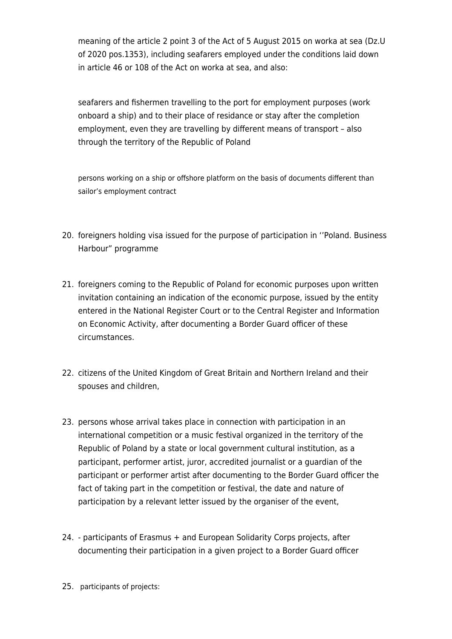meaning of the article 2 point 3 of the Act of 5 August 2015 on worka at sea (Dz.U of 2020 pos.1353), including seafarers employed under the conditions laid down in article 46 or 108 of the Act on worka at sea, and also:

seafarers and fishermen travelling to the port for employment purposes (work onboard a ship) and to their place of residance or stay after the completion employment, even they are travelling by different means of transport – also through the territory of the Republic of Poland

persons working on a ship or offshore platform on the basis of documents different than sailor's employment contract

- 20. foreigners holding visa issued for the purpose of participation in ''Poland. Business Harbour" programme
- 21. foreigners coming to the Republic of Poland for economic purposes upon written invitation containing an indication of the economic purpose, issued by the entity entered in the National Register Court or to the Central Register and Information on Economic Activity, after documenting a Border Guard officer of these circumstances.
- 22. citizens of the United Kingdom of Great Britain and Northern Ireland and their spouses and children,
- 23. persons whose arrival takes place in connection with participation in an international competition or a music festival organized in the territory of the Republic of Poland by a state or local government cultural institution, as a participant, performer artist, juror, accredited journalist or a guardian of the participant or performer artist after documenting to the Border Guard officer the fact of taking part in the competition or festival, the date and nature of participation by a relevant letter issued by the organiser of the event,
- 24. participants of Erasmus + and European Solidarity Corps projects, after documenting their participation in a given project to a Border Guard officer
- 25. participants of projects: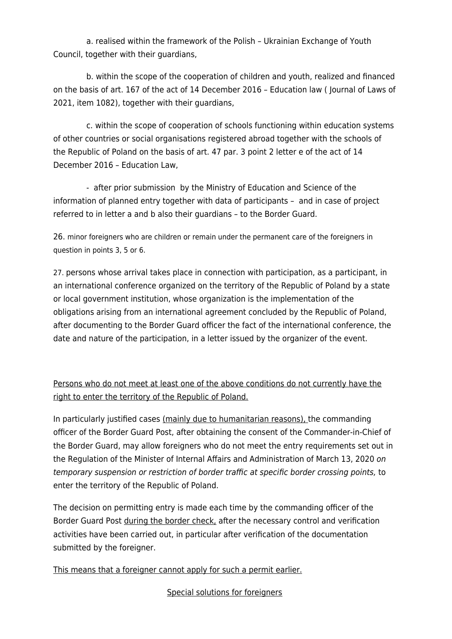a. realised within the framework of the Polish – Ukrainian Exchange of Youth Council, together with their guardians,

 b. within the scope of the cooperation of children and youth, realized and financed on the basis of art. 167 of the act of 14 December 2016 – Education law ( Journal of Laws of 2021, item 1082), together with their guardians,

 c. within the scope of cooperation of schools functioning within education systems of other countries or social organisations registered abroad together with the schools of the Republic of Poland on the basis of art. 47 par. 3 point 2 letter e of the act of 14 December 2016 – Education Law,

 - after prior submission by the Ministry of Education and Science of the information of planned entry together with data of participants – and in case of project referred to in letter a and b also their guardians – to the Border Guard.

26. minor foreigners who are children or remain under the permanent care of the foreigners in question in points 3, 5 or 6.

27. persons whose arrival takes place in connection with participation, as a participant, in an international conference organized on the territory of the Republic of Poland by a state or local government institution, whose organization is the implementation of the obligations arising from an international agreement concluded by the Republic of Poland, after documenting to the Border Guard officer the fact of the international conference, the date and nature of the participation, in a letter issued by the organizer of the event.

Persons who do not meet at least one of the above conditions do not currently have the right to enter the territory of the Republic of Poland.

In particularly justified cases (mainly due to humanitarian reasons), the commanding officer of the Border Guard Post, after obtaining the consent of the Commander-in-Chief of the Border Guard, may allow foreigners who do not meet the entry requirements set out in the Regulation of the Minister of Internal Affairs and Administration of March 13, 2020 on temporary suspension or restriction of border traffic at specific border crossing points, to enter the territory of the Republic of Poland.

The decision on permitting entry is made each time by the commanding officer of the Border Guard Post during the border check, after the necessary control and verification activities have been carried out, in particular after verification of the documentation submitted by the foreigner.

This means that a foreigner cannot apply for such a permit earlier.

Special solutions for foreigners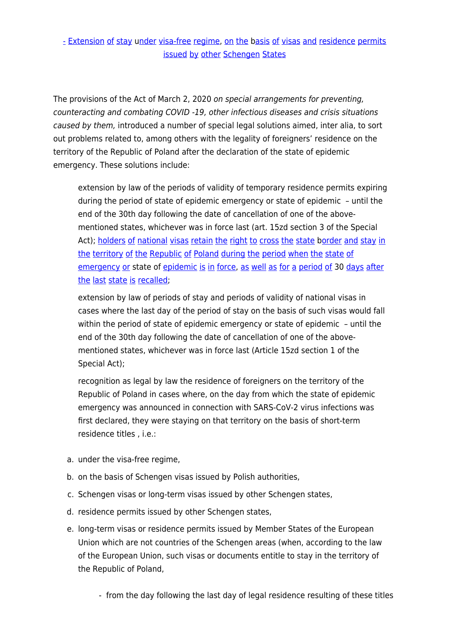[-](https://pl.pons.com/t%C5%82umaczenie/angielski-polski/-) [Extension](https://pl.pons.com/t%C5%82umaczenie/angielski-polski/Extension) [of](https://pl.pons.com/t%C5%82umaczenie/angielski-polski/of) [stay](https://pl.pons.com/t%C5%82umaczenie/angielski-polski/stay) u[nder](https://pl.pons.com/t%C5%82umaczenie/angielski-polski/nder) [visa-free](https://pl.pons.com/t%C5%82umaczenie/angielski-polski/visa-free) [regime](https://pl.pons.com/t%C5%82umaczenie/angielski-polski/regime), [on](https://pl.pons.com/t%C5%82umaczenie/angielski-polski/on) [the](https://pl.pons.com/t%C5%82umaczenie/angielski-polski/the) [basis](https://pl.pons.com/t%C5%82umaczenie/angielski-polski/asis) of [visas](https://pl.pons.com/t%C5%82umaczenie/angielski-polski/visas) [and](https://pl.pons.com/t%C5%82umaczenie/angielski-polski/and) [residence](https://pl.pons.com/t%C5%82umaczenie/angielski-polski/residence) [permits](https://pl.pons.com/t%C5%82umaczenie/angielski-polski/permits) [issued](https://pl.pons.com/t%C5%82umaczenie/angielski-polski/issued) [by](https://pl.pons.com/t%C5%82umaczenie/angielski-polski/by) [other](https://pl.pons.com/t%C5%82umaczenie/angielski-polski/other) [Schengen](https://pl.pons.com/t%C5%82umaczenie/angielski-polski/Schengen) [States](https://pl.pons.com/t%C5%82umaczenie/angielski-polski/States)

The provisions of the Act of March 2, 2020 on special arrangements for preventing, counteracting and combating COVID -19, other infectious diseases and crisis situations caused by them, introduced a number of special legal solutions aimed, inter alia, to sort out problems related to, among others with the legality of foreigners' residence on the territory of the Republic of Poland after the declaration of the state of epidemic emergency. These solutions include:

extension by law of the periods of validity of temporary residence permits expiring during the period of state of epidemic emergency or state of epidemic – until the end of the 30th day following the date of cancellation of one of the abovementioned states, whichever was in force last (art. 15zd section 3 of the Special Act); [holders](https://pl.pons.com/t%C5%82umaczenie/angielski-polski/Holders) [of](https://pl.pons.com/t%C5%82umaczenie/angielski-polski/of) [national](https://pl.pons.com/t%C5%82umaczenie/angielski-polski/national) [visas](https://pl.pons.com/t%C5%82umaczenie/angielski-polski/visas) [retain](https://pl.pons.com/t%C5%82umaczenie/angielski-polski/retain) [the](https://pl.pons.com/t%C5%82umaczenie/angielski-polski/the) [right](https://pl.pons.com/t%C5%82umaczenie/angielski-polski/right) [to](https://pl.pons.com/t%C5%82umaczenie/angielski-polski/to) [cross](https://pl.pons.com/t%C5%82umaczenie/angielski-polski/cross) the [state](https://pl.pons.com/t%C5%82umaczenie/angielski-polski/state) [border](https://pl.pons.com/t%C5%82umaczenie/angielski-polski/order) [and](https://pl.pons.com/t%C5%82umaczenie/angielski-polski/and) [stay](https://pl.pons.com/t%C5%82umaczenie/angielski-polski/stay) [in](https://pl.pons.com/t%C5%82umaczenie/angielski-polski/in) [the](https://pl.pons.com/t%C5%82umaczenie/angielski-polski/the) [territory](https://pl.pons.com/t%C5%82umaczenie/angielski-polski/territory) [of](https://pl.pons.com/t%C5%82umaczenie/angielski-polski/of) [the](https://pl.pons.com/t%C5%82umaczenie/angielski-polski/the) [Republic](https://pl.pons.com/t%C5%82umaczenie/angielski-polski/Republic) [of](https://pl.pons.com/t%C5%82umaczenie/angielski-polski/of) [Poland](https://pl.pons.com/t%C5%82umaczenie/angielski-polski/Poland) [during](https://pl.pons.com/t%C5%82umaczenie/angielski-polski/during) [the](https://pl.pons.com/t%C5%82umaczenie/angielski-polski/the) [period](https://pl.pons.com/t%C5%82umaczenie/angielski-polski/period) [when](https://pl.pons.com/t%C5%82umaczenie/angielski-polski/when) [the](https://pl.pons.com/t%C5%82umaczenie/angielski-polski/the) [state](https://pl.pons.com/t%C5%82umaczenie/angielski-polski/state) [of](https://pl.pons.com/t%C5%82umaczenie/angielski-polski/of) [emergency](https://pl.pons.com/t%C5%82umaczenie/angielski-polski/emergency) [or](https://pl.pons.com/t%C5%82umaczenie/angielski-polski/or) state of [epidemic](https://pl.pons.com/t%C5%82umaczenie/angielski-polski/epidemic) [is](https://pl.pons.com/t%C5%82umaczenie/angielski-polski/is) [in](https://pl.pons.com/t%C5%82umaczenie/angielski-polski/in) [force,](https://pl.pons.com/t%C5%82umaczenie/angielski-polski/force) [as](https://pl.pons.com/t%C5%82umaczenie/angielski-polski/as) [well](https://pl.pons.com/t%C5%82umaczenie/angielski-polski/well) [as](https://pl.pons.com/t%C5%82umaczenie/angielski-polski/as) [for](https://pl.pons.com/t%C5%82umaczenie/angielski-polski/for) [a](https://pl.pons.com/t%C5%82umaczenie/angielski-polski/a) [period](https://pl.pons.com/t%C5%82umaczenie/angielski-polski/period) [of](https://pl.pons.com/t%C5%82umaczenie/angielski-polski/of) 30 [days](https://pl.pons.com/t%C5%82umaczenie/angielski-polski/days) [after](https://pl.pons.com/t%C5%82umaczenie/angielski-polski/after) [the](https://pl.pons.com/t%C5%82umaczenie/angielski-polski/the) [last](https://pl.pons.com/t%C5%82umaczenie/angielski-polski/last) [state](https://pl.pons.com/t%C5%82umaczenie/angielski-polski/state) [is](https://pl.pons.com/t%C5%82umaczenie/angielski-polski/is) [recalled;](https://pl.pons.com/t%C5%82umaczenie/angielski-polski/recalled)

extension by law of periods of stay and periods of validity of national visas in cases where the last day of the period of stay on the basis of such visas would fall within the period of state of epidemic emergency or state of epidemic – until the end of the 30th day following the date of cancellation of one of the abovementioned states, whichever was in force last (Article 15zd section 1 of the Special Act);

recognition as legal by law the residence of foreigners on the territory of the Republic of Poland in cases where, on the day from which the state of epidemic emergency was announced in connection with SARS-CoV-2 virus infections was first declared, they were staying on that territory on the basis of short-term residence titles , i.e.:

- a. under the visa-free regime,
- b. on the basis of Schengen visas issued by Polish authorities,
- c. Schengen visas or long-term visas issued by other Schengen states,
- d. residence permits issued by other Schengen states,
- e. long-term visas or residence permits issued by Member States of the European Union which are not countries of the Schengen areas (when, according to the law of the European Union, such visas or documents entitle to stay in the territory of the Republic of Poland,
	- from the day following the last day of legal residence resulting of these titles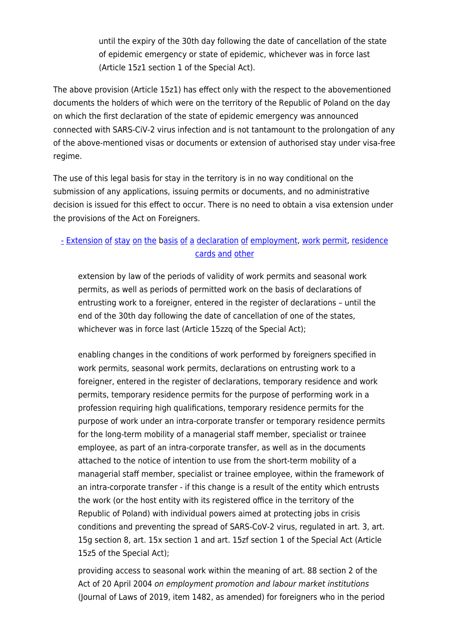until the expiry of the 30th day following the date of cancellation of the state of epidemic emergency or state of epidemic, whichever was in force last (Article 15z1 section 1 of the Special Act).

The above provision (Article 15z1) has effect only with the respect to the abovementioned documents the holders of which were on the territory of the Republic of Poland on the day on which the first declaration of the state of epidemic emergency was announced connected with SARS-CiV-2 virus infection and is not tantamount to the prolongation of any of the above-mentioned visas or documents or extension of authorised stay under visa-free regime.

The use of this legal basis for stay in the territory is in no way conditional on the submission of any applications, issuing permits or documents, and no administrative decision is issued for this effect to occur. There is no need to obtain a visa extension under the provisions of the Act on Foreigners.

## [-](https://pl.pons.com/t%C5%82umaczenie/angielski-polski/-) [Extension](https://pl.pons.com/t%C5%82umaczenie/angielski-polski/Extension) [of](https://pl.pons.com/t%C5%82umaczenie/angielski-polski/of) [stay](https://pl.pons.com/t%C5%82umaczenie/angielski-polski/stay) [on](https://pl.pons.com/t%C5%82umaczenie/angielski-polski/on) [the](https://pl.pons.com/t%C5%82umaczenie/angielski-polski/the) [basis](https://pl.pons.com/t%C5%82umaczenie/angielski-polski/asis) of [a](https://pl.pons.com/t%C5%82umaczenie/angielski-polski/a) [declaration](https://pl.pons.com/t%C5%82umaczenie/angielski-polski/declaration) of [employment,](https://pl.pons.com/t%C5%82umaczenie/angielski-polski/employment) [work](https://pl.pons.com/t%C5%82umaczenie/angielski-polski/work) [permit](https://pl.pons.com/t%C5%82umaczenie/angielski-polski/permit), [residence](https://pl.pons.com/t%C5%82umaczenie/angielski-polski/residence) [cards](https://pl.pons.com/t%C5%82umaczenie/angielski-polski/cards) [and](https://pl.pons.com/t%C5%82umaczenie/angielski-polski/and) [other](https://pl.pons.com/t%C5%82umaczenie/angielski-polski/other)

extension by law of the periods of validity of work permits and seasonal work permits, as well as periods of permitted work on the basis of declarations of entrusting work to a foreigner, entered in the register of declarations – until the end of the 30th day following the date of cancellation of one of the states, whichever was in force last (Article 15zzq of the Special Act);

enabling changes in the conditions of work performed by foreigners specified in work permits, seasonal work permits, declarations on entrusting work to a foreigner, entered in the register of declarations, temporary residence and work permits, temporary residence permits for the purpose of performing work in a profession requiring high qualifications, temporary residence permits for the purpose of work under an intra-corporate transfer or temporary residence permits for the long-term mobility of a managerial staff member, specialist or trainee employee, as part of an intra-corporate transfer, as well as in the documents attached to the notice of intention to use from the short-term mobility of a managerial staff member, specialist or trainee employee, within the framework of an intra-corporate transfer - if this change is a result of the entity which entrusts the work (or the host entity with its registered office in the territory of the Republic of Poland) with individual powers aimed at protecting jobs in crisis conditions and preventing the spread of SARS-CoV-2 virus, regulated in art. 3, art. 15g section 8, art. 15x section 1 and art. 15zf section 1 of the Special Act (Article 15z5 of the Special Act);

providing access to seasonal work within the meaning of art. 88 section 2 of the Act of 20 April 2004 on employment promotion and labour market institutions (Journal of Laws of 2019, item 1482, as amended) for foreigners who in the period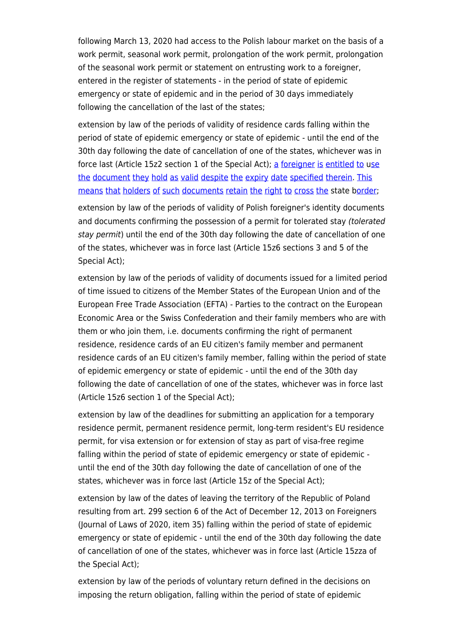following March 13, 2020 had access to the Polish labour market on the basis of a work permit, seasonal work permit, prolongation of the work permit, prolongation of the seasonal work permit or statement on entrusting work to a foreigner, entered in the register of statements - in the period of state of epidemic emergency or state of epidemic and in the period of 30 days immediately following the cancellation of the last of the states;

extension by law of the periods of validity of residence cards falling within the period of state of epidemic emergency or state of epidemic - until the end of the 30th day following the date of cancellation of one of the states, whichever was in force last (Article 15z2 section 1 of the Special Act); [a](https://pl.pons.com/t%C5%82umaczenie/angielski-polski/A) [foreigner](https://pl.pons.com/t%C5%82umaczenie/angielski-polski/foreigner) [is](https://pl.pons.com/t%C5%82umaczenie/angielski-polski/is) [entitled](https://pl.pons.com/t%C5%82umaczenie/angielski-polski/entitled) [to](https://pl.pons.com/t%C5%82umaczenie/angielski-polski/to) u[se](https://pl.pons.com/t%C5%82umaczenie/angielski-polski/se) [the](https://pl.pons.com/t%C5%82umaczenie/angielski-polski/the) [document](https://pl.pons.com/t%C5%82umaczenie/angielski-polski/document) [they](https://pl.pons.com/t%C5%82umaczenie/angielski-polski/they) [hold](https://pl.pons.com/t%C5%82umaczenie/angielski-polski/hold) [as](https://pl.pons.com/t%C5%82umaczenie/angielski-polski/as) [valid](https://pl.pons.com/t%C5%82umaczenie/angielski-polski/valid) [despite](https://pl.pons.com/t%C5%82umaczenie/angielski-polski/despite) [the](https://pl.pons.com/t%C5%82umaczenie/angielski-polski/the) [expiry](https://pl.pons.com/t%C5%82umaczenie/angielski-polski/expiry) [date](https://pl.pons.com/t%C5%82umaczenie/angielski-polski/date) [specified](https://pl.pons.com/t%C5%82umaczenie/angielski-polski/specified) [therein](https://pl.pons.com/t%C5%82umaczenie/angielski-polski/therein). [This](https://pl.pons.com/t%C5%82umaczenie/angielski-polski/This) [means](https://pl.pons.com/t%C5%82umaczenie/angielski-polski/means) [that](https://pl.pons.com/t%C5%82umaczenie/angielski-polski/that) [holders](https://pl.pons.com/t%C5%82umaczenie/angielski-polski/holders) [of](https://pl.pons.com/t%C5%82umaczenie/angielski-polski/of) [such](https://pl.pons.com/t%C5%82umaczenie/angielski-polski/such) [documents](https://pl.pons.com/t%C5%82umaczenie/angielski-polski/documents) [retain](https://pl.pons.com/t%C5%82umaczenie/angielski-polski/retain) [the](https://pl.pons.com/t%C5%82umaczenie/angielski-polski/the) [right](https://pl.pons.com/t%C5%82umaczenie/angielski-polski/right) [to](https://pl.pons.com/t%C5%82umaczenie/angielski-polski/to) [cross](https://pl.pons.com/t%C5%82umaczenie/angielski-polski/cross) [the](https://pl.pons.com/t%C5%82umaczenie/angielski-polski/the) state b[order](https://pl.pons.com/t%C5%82umaczenie/angielski-polski/order);

extension by law of the periods of validity of Polish foreigner's identity documents and documents confirming the possession of a permit for tolerated stay (tolerated stay permit) until the end of the 30th day following the date of cancellation of one of the states, whichever was in force last (Article 15z6 sections 3 and 5 of the Special Act);

extension by law of the periods of validity of documents issued for a limited period of time issued to citizens of the Member States of the European Union and of the European Free Trade Association (EFTA) - Parties to the contract on the European Economic Area or the Swiss Confederation and their family members who are with them or who join them, i.e. documents confirming the right of permanent residence, residence cards of an EU citizen's family member and permanent residence cards of an EU citizen's family member, falling within the period of state of epidemic emergency or state of epidemic - until the end of the 30th day following the date of cancellation of one of the states, whichever was in force last (Article 15z6 section 1 of the Special Act);

extension by law of the deadlines for submitting an application for a temporary residence permit, permanent residence permit, long-term resident's EU residence permit, for visa extension or for extension of stay as part of visa-free regime falling within the period of state of epidemic emergency or state of epidemic until the end of the 30th day following the date of cancellation of one of the states, whichever was in force last (Article 15z of the Special Act);

extension by law of the dates of leaving the territory of the Republic of Poland resulting from art. 299 section 6 of the Act of December 12, 2013 on Foreigners (Journal of Laws of 2020, item 35) falling within the period of state of epidemic emergency or state of epidemic - until the end of the 30th day following the date of cancellation of one of the states, whichever was in force last (Article 15zza of the Special Act);

extension by law of the periods of voluntary return defined in the decisions on imposing the return obligation, falling within the period of state of epidemic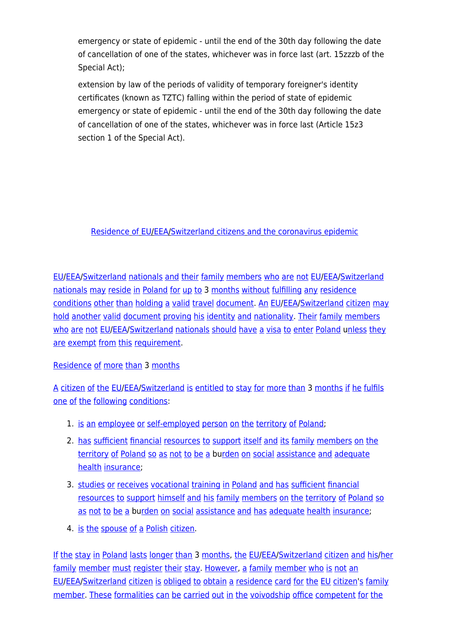emergency or state of epidemic - until the end of the 30th day following the date of cancellation of one of the states, whichever was in force last (art. 15zzzb of the Special Act);

extension by law of the periods of validity of temporary foreigner's identity certificates (known as TZTC) falling within the period of state of epidemic emergency or state of epidemic - until the end of the 30th day following the date of cancellation of one of the states, whichever was in force last (Article 15z3 section 1 of the Special Act).

#### [Residence](https://pl.pons.com/t%C5%82umaczenie/angielski-polski/Residence) [of](https://pl.pons.com/t%C5%82umaczenie/angielski-polski/of) [EU/](https://pl.pons.com/t%C5%82umaczenie/angielski-polski/EU)[EEA](https://pl.pons.com/t%C5%82umaczenie/angielski-polski/EEA)[/Switzerland](https://pl.pons.com/t%C5%82umaczenie/angielski-polski/Switzerland) [citizens](https://pl.pons.com/t%C5%82umaczenie/angielski-polski/citizens) [and](https://pl.pons.com/t%C5%82umaczenie/angielski-polski/and) [the](https://pl.pons.com/t%C5%82umaczenie/angielski-polski/the) [coronavirus](https://pl.pons.com/t%C5%82umaczenie/angielski-polski/coronavirus) [epidemic](https://pl.pons.com/t%C5%82umaczenie/angielski-polski/epidemic)

[EU/](https://pl.pons.com/t%C5%82umaczenie/angielski-polski/EU)[EEA](https://pl.pons.com/t%C5%82umaczenie/angielski-polski/EEA)[/Switzerland](https://pl.pons.com/t%C5%82umaczenie/angielski-polski/Switzerland) [nationals](https://pl.pons.com/t%C5%82umaczenie/angielski-polski/nationals) [and](https://pl.pons.com/t%C5%82umaczenie/angielski-polski/and) [their](https://pl.pons.com/t%C5%82umaczenie/angielski-polski/their) [family](https://pl.pons.com/t%C5%82umaczenie/angielski-polski/family) [members](https://pl.pons.com/t%C5%82umaczenie/angielski-polski/members) [who](https://pl.pons.com/t%C5%82umaczenie/angielski-polski/who) [are](https://pl.pons.com/t%C5%82umaczenie/angielski-polski/are) [not](https://pl.pons.com/t%C5%82umaczenie/angielski-polski/not) [EU](https://pl.pons.com/t%C5%82umaczenie/angielski-polski/EU)[/EEA](https://pl.pons.com/t%C5%82umaczenie/angielski-polski/EEA)/[Switzerland](https://pl.pons.com/t%C5%82umaczenie/angielski-polski/Switzerland) [nationals](https://pl.pons.com/t%C5%82umaczenie/angielski-polski/nationals) [may](https://pl.pons.com/t%C5%82umaczenie/angielski-polski/may) [reside](https://pl.pons.com/t%C5%82umaczenie/angielski-polski/reside) [in](https://pl.pons.com/t%C5%82umaczenie/angielski-polski/in) [Poland](https://pl.pons.com/t%C5%82umaczenie/angielski-polski/Poland) [for](https://pl.pons.com/t%C5%82umaczenie/angielski-polski/for) [up](https://pl.pons.com/t%C5%82umaczenie/angielski-polski/up) [to](https://pl.pons.com/t%C5%82umaczenie/angielski-polski/to) 3 [months](https://pl.pons.com/t%C5%82umaczenie/angielski-polski/months) [without](https://pl.pons.com/t%C5%82umaczenie/angielski-polski/without) [fulfilling](https://pl.pons.com/t%C5%82umaczenie/angielski-polski/fulfilling) [any](https://pl.pons.com/t%C5%82umaczenie/angielski-polski/any) [residence](https://pl.pons.com/t%C5%82umaczenie/angielski-polski/residence) [conditions](https://pl.pons.com/t%C5%82umaczenie/angielski-polski/conditions) [other](https://pl.pons.com/t%C5%82umaczenie/angielski-polski/other) [than](https://pl.pons.com/t%C5%82umaczenie/angielski-polski/than) [holding](https://pl.pons.com/t%C5%82umaczenie/angielski-polski/holding) [a](https://pl.pons.com/t%C5%82umaczenie/angielski-polski/a) [valid](https://pl.pons.com/t%C5%82umaczenie/angielski-polski/valid) [travel](https://pl.pons.com/t%C5%82umaczenie/angielski-polski/travel) [document](https://pl.pons.com/t%C5%82umaczenie/angielski-polski/document). [An](https://pl.pons.com/t%C5%82umaczenie/angielski-polski/An) [EU](https://pl.pons.com/t%C5%82umaczenie/angielski-polski/EU)[/EEA](https://pl.pons.com/t%C5%82umaczenie/angielski-polski/EEA)/[Switzerland](https://pl.pons.com/t%C5%82umaczenie/angielski-polski/Switzerland) [citizen](https://pl.pons.com/t%C5%82umaczenie/angielski-polski/citizen) [may](https://pl.pons.com/t%C5%82umaczenie/angielski-polski/may) [hold](https://pl.pons.com/t%C5%82umaczenie/angielski-polski/hold) [another](https://pl.pons.com/t%C5%82umaczenie/angielski-polski/another) [valid](https://pl.pons.com/t%C5%82umaczenie/angielski-polski/valid) [document](https://pl.pons.com/t%C5%82umaczenie/angielski-polski/document) [proving](https://pl.pons.com/t%C5%82umaczenie/angielski-polski/proving) [his](https://pl.pons.com/t%C5%82umaczenie/angielski-polski/his) [identity](https://pl.pons.com/t%C5%82umaczenie/angielski-polski/identity) [and](https://pl.pons.com/t%C5%82umaczenie/angielski-polski/and) [nationality.](https://pl.pons.com/t%C5%82umaczenie/angielski-polski/nationality) [Their](https://pl.pons.com/t%C5%82umaczenie/angielski-polski/Their) [family](https://pl.pons.com/t%C5%82umaczenie/angielski-polski/family) [members](https://pl.pons.com/t%C5%82umaczenie/angielski-polski/members) [who](https://pl.pons.com/t%C5%82umaczenie/angielski-polski/who) [are](https://pl.pons.com/t%C5%82umaczenie/angielski-polski/are) [not](https://pl.pons.com/t%C5%82umaczenie/angielski-polski/not) [EU](https://pl.pons.com/t%C5%82umaczenie/angielski-polski/EU)/[EEA/](https://pl.pons.com/t%C5%82umaczenie/angielski-polski/EEA)[Switzerland](https://pl.pons.com/t%C5%82umaczenie/angielski-polski/Switzerland) [nationals](https://pl.pons.com/t%C5%82umaczenie/angielski-polski/nationals) [should](https://pl.pons.com/t%C5%82umaczenie/angielski-polski/should) [have](https://pl.pons.com/t%C5%82umaczenie/angielski-polski/have) [a](https://pl.pons.com/t%C5%82umaczenie/angielski-polski/a) [visa](https://pl.pons.com/t%C5%82umaczenie/angielski-polski/visa) [to](https://pl.pons.com/t%C5%82umaczenie/angielski-polski/to) [enter](https://pl.pons.com/t%C5%82umaczenie/angielski-polski/enter) [Poland](https://pl.pons.com/t%C5%82umaczenie/angielski-polski/Poland) [unless](https://pl.pons.com/t%C5%82umaczenie/angielski-polski/nless) [they](https://pl.pons.com/t%C5%82umaczenie/angielski-polski/they) [are](https://pl.pons.com/t%C5%82umaczenie/angielski-polski/are) [exempt](https://pl.pons.com/t%C5%82umaczenie/angielski-polski/exempt) [from](https://pl.pons.com/t%C5%82umaczenie/angielski-polski/from) [this](https://pl.pons.com/t%C5%82umaczenie/angielski-polski/this) [requirement](https://pl.pons.com/t%C5%82umaczenie/angielski-polski/requirement).

#### [Residence](https://pl.pons.com/t%C5%82umaczenie/angielski-polski/Residence) [of](https://pl.pons.com/t%C5%82umaczenie/angielski-polski/of) [more](https://pl.pons.com/t%C5%82umaczenie/angielski-polski/more) [than](https://pl.pons.com/t%C5%82umaczenie/angielski-polski/than) 3 [months](https://pl.pons.com/t%C5%82umaczenie/angielski-polski/months)

[A](https://pl.pons.com/t%C5%82umaczenie/angielski-polski/A) [citizen](https://pl.pons.com/t%C5%82umaczenie/angielski-polski/citizen) [of](https://pl.pons.com/t%C5%82umaczenie/angielski-polski/of) [the](https://pl.pons.com/t%C5%82umaczenie/angielski-polski/the) [EU](https://pl.pons.com/t%C5%82umaczenie/angielski-polski/EU)/[EEA/](https://pl.pons.com/t%C5%82umaczenie/angielski-polski/EEA)[Switzerland](https://pl.pons.com/t%C5%82umaczenie/angielski-polski/Switzerland) [is](https://pl.pons.com/t%C5%82umaczenie/angielski-polski/is) [entitled](https://pl.pons.com/t%C5%82umaczenie/angielski-polski/entitled) [to](https://pl.pons.com/t%C5%82umaczenie/angielski-polski/to) [stay](https://pl.pons.com/t%C5%82umaczenie/angielski-polski/stay) [for](https://pl.pons.com/t%C5%82umaczenie/angielski-polski/for) [more](https://pl.pons.com/t%C5%82umaczenie/angielski-polski/more) [than](https://pl.pons.com/t%C5%82umaczenie/angielski-polski/than) 3 [months](https://pl.pons.com/t%C5%82umaczenie/angielski-polski/months) [if](https://pl.pons.com/t%C5%82umaczenie/angielski-polski/if) [he](https://pl.pons.com/t%C5%82umaczenie/angielski-polski/he) [fulfils](https://pl.pons.com/t%C5%82umaczenie/angielski-polski/fulfils) [one](https://pl.pons.com/t%C5%82umaczenie/angielski-polski/one) [of](https://pl.pons.com/t%C5%82umaczenie/angielski-polski/of) [the](https://pl.pons.com/t%C5%82umaczenie/angielski-polski/the) [following](https://pl.pons.com/t%C5%82umaczenie/angielski-polski/following) [conditions:](https://pl.pons.com/t%C5%82umaczenie/angielski-polski/conditions)

- 1. [is](https://pl.pons.com/t%C5%82umaczenie/angielski-polski/is) [an](https://pl.pons.com/t%C5%82umaczenie/angielski-polski/an) [employee](https://pl.pons.com/t%C5%82umaczenie/angielski-polski/employee) [or](https://pl.pons.com/t%C5%82umaczenie/angielski-polski/or) [self-employed](https://pl.pons.com/t%C5%82umaczenie/angielski-polski/self-employed) [person](https://pl.pons.com/t%C5%82umaczenie/angielski-polski/person) [on](https://pl.pons.com/t%C5%82umaczenie/angielski-polski/on) [the](https://pl.pons.com/t%C5%82umaczenie/angielski-polski/the) [territory](https://pl.pons.com/t%C5%82umaczenie/angielski-polski/territory) [of](https://pl.pons.com/t%C5%82umaczenie/angielski-polski/of) [Poland;](https://pl.pons.com/t%C5%82umaczenie/angielski-polski/Poland)
- 2. [has](https://pl.pons.com/t%C5%82umaczenie/angielski-polski/has) [sufficient](https://pl.pons.com/t%C5%82umaczenie/angielski-polski/sufficient) [financial](https://pl.pons.com/t%C5%82umaczenie/angielski-polski/financial) [resources](https://pl.pons.com/t%C5%82umaczenie/angielski-polski/resources) [to](https://pl.pons.com/t%C5%82umaczenie/angielski-polski/to) [support](https://pl.pons.com/t%C5%82umaczenie/angielski-polski/support) [itself](https://pl.pons.com/t%C5%82umaczenie/angielski-polski/itself) [and](https://pl.pons.com/t%C5%82umaczenie/angielski-polski/and) [its](https://pl.pons.com/t%C5%82umaczenie/angielski-polski/its) [family](https://pl.pons.com/t%C5%82umaczenie/angielski-polski/family) [members](https://pl.pons.com/t%C5%82umaczenie/angielski-polski/members) [on](https://pl.pons.com/t%C5%82umaczenie/angielski-polski/on) [the](https://pl.pons.com/t%C5%82umaczenie/angielski-polski/the) [territory](https://pl.pons.com/t%C5%82umaczenie/angielski-polski/territory) [of](https://pl.pons.com/t%C5%82umaczenie/angielski-polski/of) [Poland](https://pl.pons.com/t%C5%82umaczenie/angielski-polski/Poland) [so](https://pl.pons.com/t%C5%82umaczenie/angielski-polski/so) [as](https://pl.pons.com/t%C5%82umaczenie/angielski-polski/as) [not](https://pl.pons.com/t%C5%82umaczenie/angielski-polski/not) [to](https://pl.pons.com/t%C5%82umaczenie/angielski-polski/to) [be](https://pl.pons.com/t%C5%82umaczenie/angielski-polski/be) [a](https://pl.pons.com/t%C5%82umaczenie/angielski-polski/a) b[urden](https://pl.pons.com/t%C5%82umaczenie/angielski-polski/rden) [on](https://pl.pons.com/t%C5%82umaczenie/angielski-polski/on) [social](https://pl.pons.com/t%C5%82umaczenie/angielski-polski/social) [assistance](https://pl.pons.com/t%C5%82umaczenie/angielski-polski/assistance) [and](https://pl.pons.com/t%C5%82umaczenie/angielski-polski/and) [adequate](https://pl.pons.com/t%C5%82umaczenie/angielski-polski/adequate) [health](https://pl.pons.com/t%C5%82umaczenie/angielski-polski/health) [insurance;](https://pl.pons.com/t%C5%82umaczenie/angielski-polski/insurance)
- 3. [studies](https://pl.pons.com/t%C5%82umaczenie/angielski-polski/studies) [or](https://pl.pons.com/t%C5%82umaczenie/angielski-polski/or) [receives](https://pl.pons.com/t%C5%82umaczenie/angielski-polski/receives) [vocational](https://pl.pons.com/t%C5%82umaczenie/angielski-polski/vocational) [training](https://pl.pons.com/t%C5%82umaczenie/angielski-polski/training) [in](https://pl.pons.com/t%C5%82umaczenie/angielski-polski/in) [Poland](https://pl.pons.com/t%C5%82umaczenie/angielski-polski/Poland) [and](https://pl.pons.com/t%C5%82umaczenie/angielski-polski/and) [has](https://pl.pons.com/t%C5%82umaczenie/angielski-polski/has) [sufficient](https://pl.pons.com/t%C5%82umaczenie/angielski-polski/sufficient) [financial](https://pl.pons.com/t%C5%82umaczenie/angielski-polski/financial) [resources](https://pl.pons.com/t%C5%82umaczenie/angielski-polski/resources) [to](https://pl.pons.com/t%C5%82umaczenie/angielski-polski/to) [support](https://pl.pons.com/t%C5%82umaczenie/angielski-polski/support) [himself](https://pl.pons.com/t%C5%82umaczenie/angielski-polski/himself) [and](https://pl.pons.com/t%C5%82umaczenie/angielski-polski/and) [his](https://pl.pons.com/t%C5%82umaczenie/angielski-polski/his) [family](https://pl.pons.com/t%C5%82umaczenie/angielski-polski/family) [members](https://pl.pons.com/t%C5%82umaczenie/angielski-polski/members) [on](https://pl.pons.com/t%C5%82umaczenie/angielski-polski/on) [the](https://pl.pons.com/t%C5%82umaczenie/angielski-polski/the) [territory](https://pl.pons.com/t%C5%82umaczenie/angielski-polski/territory) [of](https://pl.pons.com/t%C5%82umaczenie/angielski-polski/of) [Poland](https://pl.pons.com/t%C5%82umaczenie/angielski-polski/Poland) [so](https://pl.pons.com/t%C5%82umaczenie/angielski-polski/so) [as](https://pl.pons.com/t%C5%82umaczenie/angielski-polski/as) [not](https://pl.pons.com/t%C5%82umaczenie/angielski-polski/not) [to](https://pl.pons.com/t%C5%82umaczenie/angielski-polski/to) [be](https://pl.pons.com/t%C5%82umaczenie/angielski-polski/be) [a](https://pl.pons.com/t%C5%82umaczenie/angielski-polski/a) b[urden](https://pl.pons.com/t%C5%82umaczenie/angielski-polski/rden) [on](https://pl.pons.com/t%C5%82umaczenie/angielski-polski/on) [social](https://pl.pons.com/t%C5%82umaczenie/angielski-polski/social) [assistance](https://pl.pons.com/t%C5%82umaczenie/angielski-polski/assistance) [and](https://pl.pons.com/t%C5%82umaczenie/angielski-polski/and) [has](https://pl.pons.com/t%C5%82umaczenie/angielski-polski/has) [adequate](https://pl.pons.com/t%C5%82umaczenie/angielski-polski/adequate) [health](https://pl.pons.com/t%C5%82umaczenie/angielski-polski/health) [insurance](https://pl.pons.com/t%C5%82umaczenie/angielski-polski/insurance);
- 4. [is](https://pl.pons.com/t%C5%82umaczenie/angielski-polski/is) [the](https://pl.pons.com/t%C5%82umaczenie/angielski-polski/the) [spouse](https://pl.pons.com/t%C5%82umaczenie/angielski-polski/spouse) [of](https://pl.pons.com/t%C5%82umaczenie/angielski-polski/of) [a](https://pl.pons.com/t%C5%82umaczenie/angielski-polski/a) [Polish](https://pl.pons.com/t%C5%82umaczenie/angielski-polski/Polish) [citizen](https://pl.pons.com/t%C5%82umaczenie/angielski-polski/citizen).

[If](https://pl.pons.com/t%C5%82umaczenie/angielski-polski/If) [the](https://pl.pons.com/t%C5%82umaczenie/angielski-polski/the) [stay](https://pl.pons.com/t%C5%82umaczenie/angielski-polski/stay) [in](https://pl.pons.com/t%C5%82umaczenie/angielski-polski/in) [Poland](https://pl.pons.com/t%C5%82umaczenie/angielski-polski/Poland) [lasts](https://pl.pons.com/t%C5%82umaczenie/angielski-polski/lasts) [longer](https://pl.pons.com/t%C5%82umaczenie/angielski-polski/longer) [than](https://pl.pons.com/t%C5%82umaczenie/angielski-polski/than) 3 [months,](https://pl.pons.com/t%C5%82umaczenie/angielski-polski/months) the [EU/](https://pl.pons.com/t%C5%82umaczenie/angielski-polski/EU)[EEA](https://pl.pons.com/t%C5%82umaczenie/angielski-polski/EEA)[/Switzerland](https://pl.pons.com/t%C5%82umaczenie/angielski-polski/Switzerland) [citizen](https://pl.pons.com/t%C5%82umaczenie/angielski-polski/citizen) [and](https://pl.pons.com/t%C5%82umaczenie/angielski-polski/and) [his](https://pl.pons.com/t%C5%82umaczenie/angielski-polski/his)/[her](https://pl.pons.com/t%C5%82umaczenie/angielski-polski/her) [family](https://pl.pons.com/t%C5%82umaczenie/angielski-polski/family) [member](https://pl.pons.com/t%C5%82umaczenie/angielski-polski/member) [must](https://pl.pons.com/t%C5%82umaczenie/angielski-polski/must) [register](https://pl.pons.com/t%C5%82umaczenie/angielski-polski/register) [their](https://pl.pons.com/t%C5%82umaczenie/angielski-polski/their) [stay.](https://pl.pons.com/t%C5%82umaczenie/angielski-polski/stay) [However](https://pl.pons.com/t%C5%82umaczenie/angielski-polski/However), [a](https://pl.pons.com/t%C5%82umaczenie/angielski-polski/a) family member [who](https://pl.pons.com/t%C5%82umaczenie/angielski-polski/who) [is](https://pl.pons.com/t%C5%82umaczenie/angielski-polski/is) [not](https://pl.pons.com/t%C5%82umaczenie/angielski-polski/not) [an](https://pl.pons.com/t%C5%82umaczenie/angielski-polski/an) [EU/](https://pl.pons.com/t%C5%82umaczenie/angielski-polski/EU)[EEA](https://pl.pons.com/t%C5%82umaczenie/angielski-polski/EEA)[/Switzerland](https://pl.pons.com/t%C5%82umaczenie/angielski-polski/Switzerland) [citizen](https://pl.pons.com/t%C5%82umaczenie/angielski-polski/citizen) [is](https://pl.pons.com/t%C5%82umaczenie/angielski-polski/is) [obliged](https://pl.pons.com/t%C5%82umaczenie/angielski-polski/obliged) [to](https://pl.pons.com/t%C5%82umaczenie/angielski-polski/to) [obtain](https://pl.pons.com/t%C5%82umaczenie/angielski-polski/obtain) [a](https://pl.pons.com/t%C5%82umaczenie/angielski-polski/a) [residence](https://pl.pons.com/t%C5%82umaczenie/angielski-polski/residence) [card](https://pl.pons.com/t%C5%82umaczenie/angielski-polski/card) [for](https://pl.pons.com/t%C5%82umaczenie/angielski-polski/for) [the](https://pl.pons.com/t%C5%82umaczenie/angielski-polski/the) [EU](https://pl.pons.com/t%C5%82umaczenie/angielski-polski/EU) [citizen](https://pl.pons.com/t%C5%82umaczenie/angielski-polski/citizen)'[s](https://pl.pons.com/t%C5%82umaczenie/angielski-polski/s) [family](https://pl.pons.com/t%C5%82umaczenie/angielski-polski/family) [member.](https://pl.pons.com/t%C5%82umaczenie/angielski-polski/member) [These](https://pl.pons.com/t%C5%82umaczenie/angielski-polski/These) [formalities](https://pl.pons.com/t%C5%82umaczenie/angielski-polski/formalities) [can](https://pl.pons.com/t%C5%82umaczenie/angielski-polski/can) [be](https://pl.pons.com/t%C5%82umaczenie/angielski-polski/be) [carried](https://pl.pons.com/t%C5%82umaczenie/angielski-polski/carried) [out](https://pl.pons.com/t%C5%82umaczenie/angielski-polski/out) [in](https://pl.pons.com/t%C5%82umaczenie/angielski-polski/in) [the](https://pl.pons.com/t%C5%82umaczenie/angielski-polski/the) [voivodship](https://pl.pons.com/t%C5%82umaczenie/angielski-polski/voivodship) [office](https://pl.pons.com/t%C5%82umaczenie/angielski-polski/office) [competent](https://pl.pons.com/t%C5%82umaczenie/angielski-polski/competent) [for](https://pl.pons.com/t%C5%82umaczenie/angielski-polski/for) the